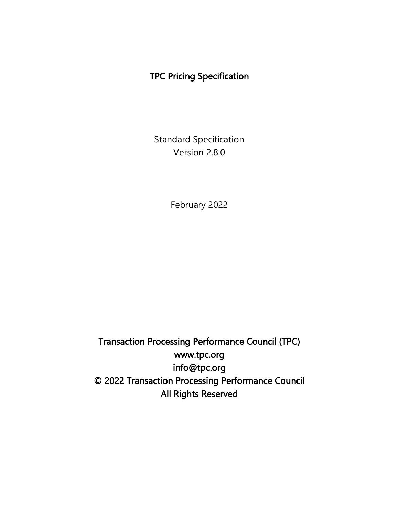# TPC Pricing Specification

Standard Specification Version 2.8.0

February 2022

Transaction Processing Performance Council (TPC) www.tpc.org info@tpc.org © 2022 Transaction Processing Performance Council All Rights Reserved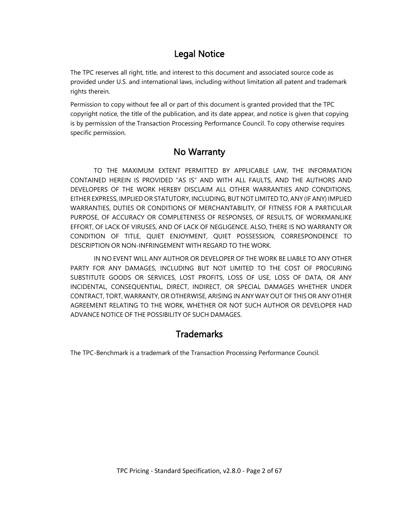# Legal Notice

The TPC reserves all right, title, and interest to this document and associated source code as provided under U.S. and international laws, including without limitation all patent and trademark rights therein.

Permission to copy without fee all or part of this document is granted provided that the TPC copyright notice, the title of the publication, and its date appear, and notice is given that copying is by permission of the Transaction Processing Performance Council. To copy otherwise requires specific permission.

## No Warranty

TO THE MAXIMUM EXTENT PERMITTED BY APPLICABLE LAW, THE INFORMATION CONTAINED HEREIN IS PROVIDED "AS IS" AND WITH ALL FAULTS, AND THE AUTHORS AND DEVELOPERS OF THE WORK HEREBY DISCLAIM ALL OTHER WARRANTIES AND CONDITIONS, EITHER EXPRESS, IMPLIED OR STATUTORY, INCLUDING, BUT NOT LIMITED TO, ANY (IF ANY) IMPLIED WARRANTIES, DUTIES OR CONDITIONS OF MERCHANTABILITY, OF FITNESS FOR A PARTICULAR PURPOSE, OF ACCURACY OR COMPLETENESS OF RESPONSES, OF RESULTS, OF WORKMANLIKE EFFORT, OF LACK OF VIRUSES, AND OF LACK OF NEGLIGENCE. ALSO, THERE IS NO WARRANTY OR CONDITION OF TITLE, QUIET ENJOYMENT, QUIET POSSESSION, CORRESPONDENCE TO DESCRIPTION OR NON-INFRINGEMENT WITH REGARD TO THE WORK.

IN NO EVENT WILL ANY AUTHOR OR DEVELOPER OF THE WORK BE LIABLE TO ANY OTHER PARTY FOR ANY DAMAGES, INCLUDING BUT NOT LIMITED TO THE COST OF PROCURING SUBSTITUTE GOODS OR SERVICES, LOST PROFITS, LOSS OF USE, LOSS OF DATA, OR ANY INCIDENTAL, CONSEQUENTIAL, DIRECT, INDIRECT, OR SPECIAL DAMAGES WHETHER UNDER CONTRACT, TORT, WARRANTY, OR OTHERWISE, ARISING IN ANY WAY OUT OF THIS OR ANY OTHER AGREEMENT RELATING TO THE WORK, WHETHER OR NOT SUCH AUTHOR OR DEVELOPER HAD ADVANCE NOTICE OF THE POSSIBILITY OF SUCH DAMAGES.

## **Trademarks**

The TPC-Benchmark is a trademark of the Transaction Processing Performance Council.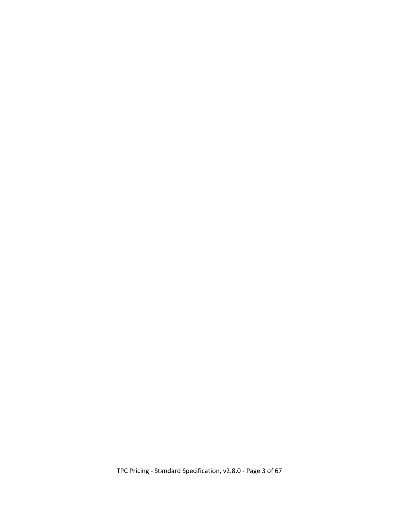TPC Pricing - Standard Specification, v2.8.0 - Page 3 of 67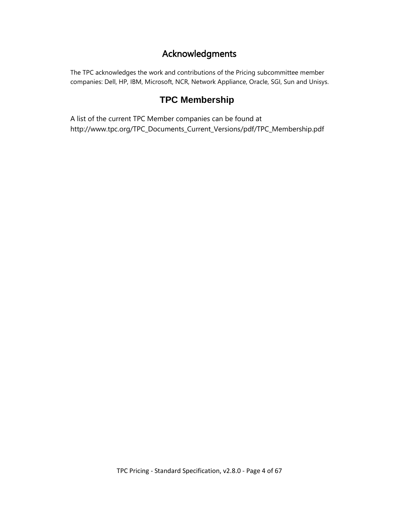# Acknowledgments

The TPC acknowledges the work and contributions of the Pricing subcommittee member companies: Dell, HP, IBM, Microsoft, NCR, Network Appliance, Oracle, SGI, Sun and Unisys.

# **TPC Membership**

A list of the current TPC Member companies can be found at http://www.tpc.org/TPC\_Documents\_Current\_Versions/pdf/TPC\_Membership.pdf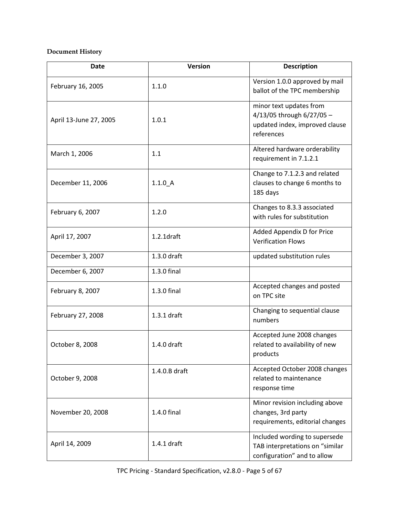## **Document History**

| <b>Date</b>            | <b>Version</b> | <b>Description</b>                                                                                   |
|------------------------|----------------|------------------------------------------------------------------------------------------------------|
| February 16, 2005      | 1.1.0          | Version 1.0.0 approved by mail<br>ballot of the TPC membership                                       |
| April 13-June 27, 2005 | 1.0.1          | minor text updates from<br>4/13/05 through 6/27/05 -<br>updated index, improved clause<br>references |
| March 1, 2006          | 1.1            | Altered hardware orderability<br>requirement in 7.1.2.1                                              |
| December 11, 2006      | 1.1.0 A        | Change to 7.1.2.3 and related<br>clauses to change 6 months to<br>185 days                           |
| February 6, 2007       | 1.2.0          | Changes to 8.3.3 associated<br>with rules for substitution                                           |
| April 17, 2007         | $1.2.1$ draft  | Added Appendix D for Price<br><b>Verification Flows</b>                                              |
| December 3, 2007       | 1.3.0 draft    | updated substitution rules                                                                           |
| December 6, 2007       | 1.3.0 final    |                                                                                                      |
| February 8, 2007       | 1.3.0 final    | Accepted changes and posted<br>on TPC site                                                           |
| February 27, 2008      | 1.3.1 draft    | Changing to sequential clause<br>numbers                                                             |
| October 8, 2008        | 1.4.0 draft    | Accepted June 2008 changes<br>related to availability of new<br>products                             |
| October 9, 2008        | 1.4.0.B draft  | Accepted October 2008 changes<br>related to maintenance<br>response time                             |
| November 20, 2008      | 1.4.0 final    | Minor revision including above<br>changes, 3rd party<br>requirements, editorial changes              |
| April 14, 2009         | 1.4.1 draft    | Included wording to supersede<br>TAB interpretations on "similar<br>configuration" and to allow      |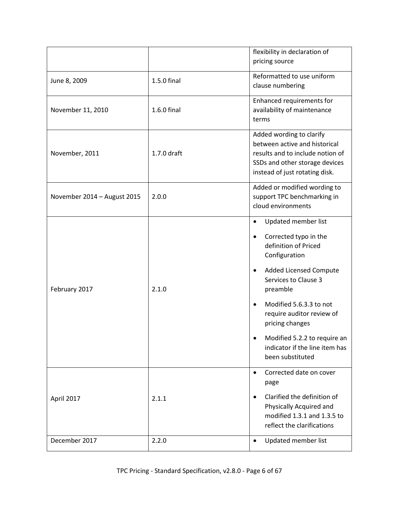|                             |             | flexibility in declaration of<br>pricing source                                                                                                                                                                                                                                                                                                             |
|-----------------------------|-------------|-------------------------------------------------------------------------------------------------------------------------------------------------------------------------------------------------------------------------------------------------------------------------------------------------------------------------------------------------------------|
| June 8, 2009                | 1.5.0 final | Reformatted to use uniform<br>clause numbering                                                                                                                                                                                                                                                                                                              |
| November 11, 2010           | 1.6.0 final | Enhanced requirements for<br>availability of maintenance<br>terms                                                                                                                                                                                                                                                                                           |
| November, 2011              | 1.7.0 draft | Added wording to clarify<br>between active and historical<br>results and to include notion of<br>SSDs and other storage devices<br>instead of just rotating disk.                                                                                                                                                                                           |
| November 2014 - August 2015 | 2.0.0       | Added or modified wording to<br>support TPC benchmarking in<br>cloud environments                                                                                                                                                                                                                                                                           |
| February 2017               | 2.1.0       | Updated member list<br>$\bullet$<br>Corrected typo in the<br>$\bullet$<br>definition of Priced<br>Configuration<br>Added Licensed Compute<br>$\bullet$<br>Services to Clause 3<br>preamble<br>Modified 5.6.3.3 to not<br>require auditor review of<br>pricing changes<br>Modified 5.2.2 to require an<br>indicator if the line item has<br>been substituted |
| April 2017                  | 2.1.1       | Corrected date on cover<br>$\bullet$<br>page<br>Clarified the definition of<br>$\bullet$<br>Physically Acquired and<br>modified 1.3.1 and 1.3.5 to<br>reflect the clarifications                                                                                                                                                                            |
| December 2017               | 2.2.0       | Updated member list<br>$\bullet$                                                                                                                                                                                                                                                                                                                            |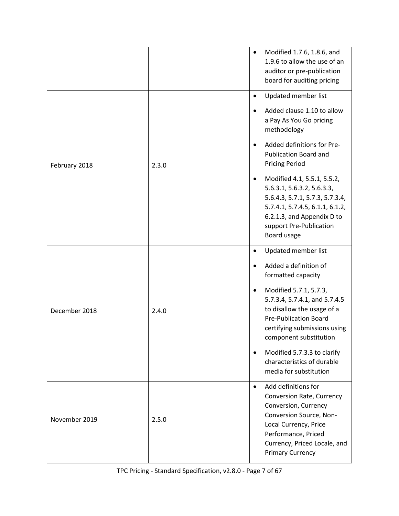|               |       | Modified 1.7.6, 1.8.6, and<br>$\bullet$<br>1.9.6 to allow the use of an<br>auditor or pre-publication<br>board for auditing pricing                                                                                                |
|---------------|-------|------------------------------------------------------------------------------------------------------------------------------------------------------------------------------------------------------------------------------------|
|               |       | Updated member list<br>$\bullet$<br>Added clause 1.10 to allow<br>$\bullet$<br>a Pay As You Go pricing<br>methodology                                                                                                              |
| February 2018 | 2.3.0 | Added definitions for Pre-<br><b>Publication Board and</b><br><b>Pricing Period</b>                                                                                                                                                |
|               |       | Modified 4.1, 5.5.1, 5.5.2,<br>$\bullet$<br>5.6.3.1, 5.6.3.2, 5.6.3.3,<br>5.6.4.3, 5.7.1, 5.7.3, 5.7.3.4,<br>5.7.4.1, 5.7.4.5, 6.1.1, 6.1.2,<br>6.2.1.3, and Appendix D to<br>support Pre-Publication<br>Board usage               |
|               |       | Updated member list<br>$\bullet$                                                                                                                                                                                                   |
|               |       | Added a definition of<br>$\bullet$<br>formatted capacity                                                                                                                                                                           |
| December 2018 | 2.4.0 | Modified 5.7.1, 5.7.3,<br>$\bullet$<br>5.7.3.4, 5.7.4.1, and 5.7.4.5<br>to disallow the usage of a<br><b>Pre-Publication Board</b><br>certifying submissions using<br>component substitution                                       |
|               |       | Modified 5.7.3.3 to clarify<br>$\bullet$<br>characteristics of durable<br>media for substitution                                                                                                                                   |
| November 2019 | 2.5.0 | Add definitions for<br>$\bullet$<br><b>Conversion Rate, Currency</b><br>Conversion, Currency<br>Conversion Source, Non-<br>Local Currency, Price<br>Performance, Priced<br>Currency, Priced Locale, and<br><b>Primary Currency</b> |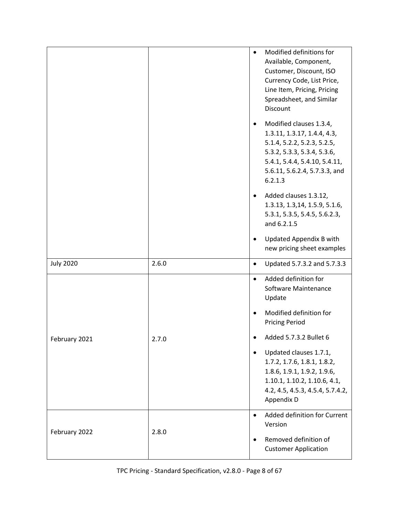|                  |       | $\bullet$ | Modified definitions for<br>Available, Component,<br>Customer, Discount, ISO<br>Currency Code, List Price,<br>Line Item, Pricing, Pricing<br>Spreadsheet, and Similar<br>Discount                 |
|------------------|-------|-----------|---------------------------------------------------------------------------------------------------------------------------------------------------------------------------------------------------|
|                  |       | $\bullet$ | Modified clauses 1.3.4,<br>1.3.11, 1.3.17, 1.4.4, 4.3,<br>5.1.4, 5.2.2, 5.2.3, 5.2.5,<br>5.3.2, 5.3.3, 5.3.4, 5.3.6,<br>5.4.1, 5.4.4, 5.4.10, 5.4.11,<br>5.6.11, 5.6.2.4, 5.7.3.3, and<br>6.2.1.3 |
|                  |       | $\bullet$ | Added clauses 1.3.12,<br>1.3.13, 1.3, 14, 1.5.9, 5.1.6,<br>5.3.1, 5.3.5, 5.4.5, 5.6.2.3,<br>and 6.2.1.5                                                                                           |
|                  |       | $\bullet$ | Updated Appendix B with<br>new pricing sheet examples                                                                                                                                             |
| <b>July 2020</b> | 2.6.0 | $\bullet$ | Updated 5.7.3.2 and 5.7.3.3                                                                                                                                                                       |
|                  |       | $\bullet$ | Added definition for<br>Software Maintenance<br>Update                                                                                                                                            |
|                  |       | $\bullet$ | Modified definition for<br><b>Pricing Period</b>                                                                                                                                                  |
| February 2021    | 2.7.0 |           | Added 5.7.3.2 Bullet 6                                                                                                                                                                            |
|                  |       | $\bullet$ | Updated clauses 1.7.1,<br>1.7.2, 1.7.6, 1.8.1, 1.8.2,<br>1.8.6, 1.9.1, 1.9.2, 1.9.6,<br>1.10.1, 1.10.2, 1.10.6, 4.1,<br>4.2, 4.5, 4.5.3, 4.5.4, 5.7.4.2,<br>Appendix D                            |
| February 2022    | 2.8.0 | $\bullet$ | Added definition for Current<br>Version<br>Removed definition of<br><b>Customer Application</b>                                                                                                   |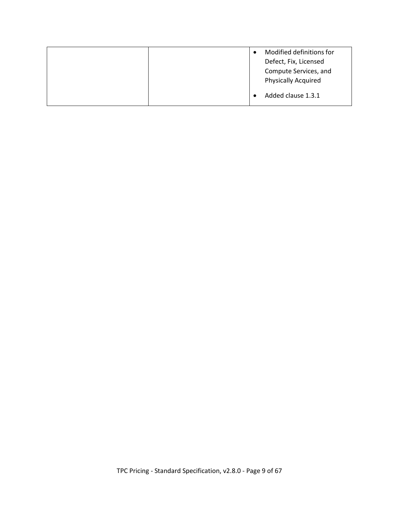|  | Modified definitions for<br>Defect, Fix, Licensed   |
|--|-----------------------------------------------------|
|  | Compute Services, and<br><b>Physically Acquired</b> |
|  | Added clause 1.3.1                                  |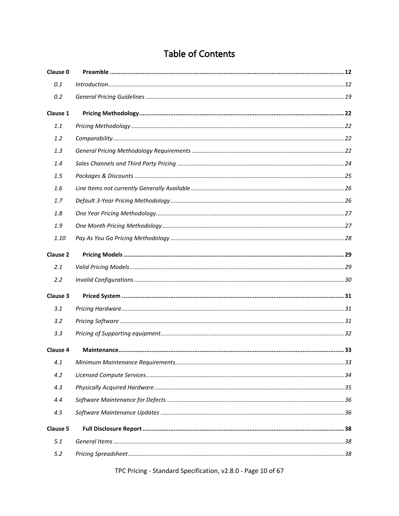# **Table of Contents**

| Clause 0        |  |
|-----------------|--|
| 0.1             |  |
| 0.2             |  |
| Clause 1        |  |
| 1.1             |  |
| 1.2             |  |
| 1.3             |  |
| 1.4             |  |
| 1.5             |  |
| 1.6             |  |
| 1.7             |  |
| 1.8             |  |
| 1.9             |  |
| 1.10            |  |
| <b>Clause 2</b> |  |
| 2.1             |  |
| 2.2             |  |
| Clause 3        |  |
| 3.1             |  |
| 3.2             |  |
| 3.3             |  |
| Clause 4        |  |
| 4.1             |  |
| 4.2             |  |
| 4.3             |  |
| 4.4             |  |
| 4.5             |  |
| <b>Clause 5</b> |  |
| 5.1             |  |
| 5.2             |  |

TPC Pricing - Standard Specification, v2.8.0 - Page 10 of 67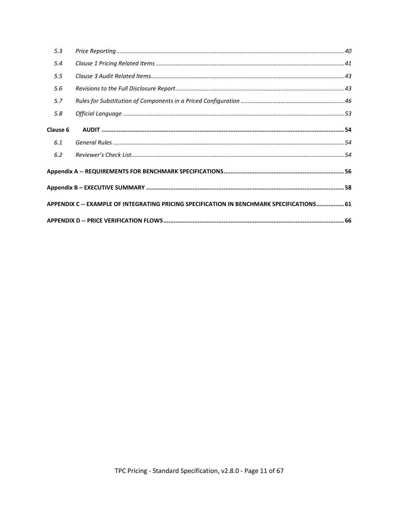| 5.3      |                                                                                           |  |
|----------|-------------------------------------------------------------------------------------------|--|
| 5.4      |                                                                                           |  |
| 5.5      |                                                                                           |  |
| 5.6      |                                                                                           |  |
| 5.7      |                                                                                           |  |
| 5.8      |                                                                                           |  |
| Clause 6 |                                                                                           |  |
| 6.1      |                                                                                           |  |
| 6.2      |                                                                                           |  |
|          |                                                                                           |  |
|          |                                                                                           |  |
|          | APPENDIX C -- EXAMPLE OF INTEGRATING PRICING SPECIFICATION IN BENCHMARK SPECIFICATIONS 61 |  |
|          |                                                                                           |  |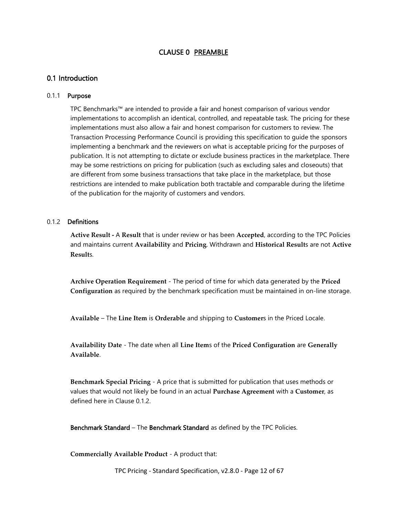## CLAUSE 0 PREAMBLE

### <span id="page-11-1"></span><span id="page-11-0"></span>0.1 Introduction

#### 0.1.1 Purpose

TPC Benchmarks™ are intended to provide a fair and honest comparison of various vendor implementations to accomplish an identical, controlled, and repeatable task. The pricing for these implementations must also allow a fair and honest comparison for customers to review. The Transaction Processing Performance Council is providing this specification to guide the sponsors implementing a benchmark and the reviewers on what is acceptable pricing for the purposes of publication. It is not attempting to dictate or exclude business practices in the marketplace. There may be some restrictions on pricing for publication (such as excluding sales and closeouts) that are different from some business transactions that take place in the marketplace, but those restrictions are intended to make publication both tractable and comparable during the lifetime of the publication for the majority of customers and vendors.

#### 0.1.2 Definitions

**Active Result -** A **Result** that is under review or has been **Accepted**, according to the TPC Policies and maintains current **Availability** and **Pricing**. Withdrawn and **Historical Result**s are not **Active Result**s.

**Archive Operation Requirement** - The period of time for which data generated by the **Priced Configuration** as required by the benchmark specification must be maintained in on-line storage.

**Available** – The **Line Item** is **Orderable** and shipping to **Customer**s in the Priced Locale.

**Availability Date** - The date when all **Line Item**s of the **Priced Configuration** are **Generally Available**.

**Benchmark Special Pricing** - A price that is submitted for publication that uses methods or values that would not likely be found in an actual **Purchase Agreement** with a **Customer**, as defined here in Clause 0.1.2.

Benchmark Standard – The Benchmark Standard as defined by the TPC Policies.

**Commercially Available Product** - A product that:

TPC Pricing - Standard Specification, v2.8.0 - Page 12 of 67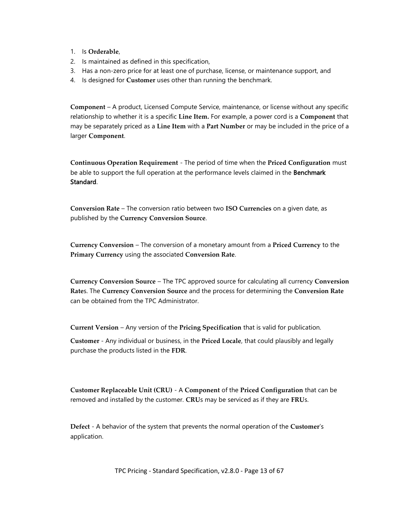- 1. Is **Orderable**,
- 2. Is maintained as defined in this specification,
- 3. Has a non-zero price for at least one of purchase, license, or maintenance support, and
- 4. Is designed for **Customer** uses other than running the benchmark.

**Component** – A product, Licensed Compute Service, maintenance, or license without any specific relationship to whether it is a specific **Line Item.** For example, a power cord is a **Component** that may be separately priced as a **Line Item** with a **Part Number** or may be included in the price of a larger **Component**.

**Continuous Operation Requirement** - The period of time when the **Priced Configuration** must be able to support the full operation at the performance levels claimed in the **Benchmark** Standard.

**Conversion Rate** – The conversion ratio between two **ISO Currencies** on a given date, as published by the **Currency Conversion Source**.

**Currency Conversion** – The conversion of a monetary amount from a **Priced Currency** to the **Primary Currency** using the associated **Conversion Rate**.

**Currency Conversion Source** – The TPC approved source for calculating all currency **Conversion Rate**s. The **Currency Conversion Source** and the process for determining the **Conversion Rate** can be obtained from the TPC Administrator.

**Current Version** – Any version of the **Pricing Specification** that is valid for publication.

**Customer** - Any individual or business, in the **Priced Locale**, that could plausibly and legally purchase the products listed in the **FDR**.

**Customer Replaceable Unit (CRU)** - A **Component** of the **Priced Configuration** that can be removed and installed by the customer. **CRU**s may be serviced as if they are **FRU**s.

**Defect** - A behavior of the system that prevents the normal operation of the **Customer**'s application.

TPC Pricing - Standard Specification, v2.8.0 - Page 13 of 67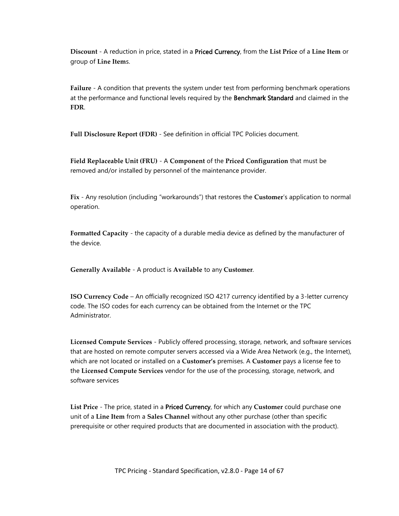**Discount** - A reduction in price, stated in a Priced Currency, from the **List Price** of a **Line Item** or group of **Line Item**s.

**Failure** - A condition that prevents the system under test from performing benchmark operations at the performance and functional levels required by the Benchmark Standard and claimed in the **FDR**.

**Full Disclosure Report (FDR)** - See definition in official TPC Policies document.

**Field Replaceable Unit (FRU)** - A **Component** of the **Priced Configuration** that must be removed and/or installed by personnel of the maintenance provider.

**Fix** - Any resolution (including "workarounds") that restores the **Customer**'s application to normal operation.

**Formatted Capacity** - the capacity of a durable media device as defined by the manufacturer of the device.

**Generally Available** - A product is **Available** to any **Customer**.

**ISO Currency Code** – An officially recognized ISO 4217 currency identified by a 3-letter currency code. The ISO codes for each currency can be obtained from the Internet or the TPC Administrator.

**Licensed Compute Services** - Publicly offered processing, storage, network, and software services that are hosted on remote computer servers accessed via a Wide Area Network (e.g., the Internet), which are not located or installed on a **Customer's** premises. A **Customer** pays a license fee to the **Licensed Compute Services** vendor for the use of the processing, storage, network, and software services

**List Price** - The price, stated in a Priced Currency, for which any **Customer** could purchase one unit of a **Line Item** from a **Sales Channel** without any other purchase (other than specific prerequisite or other required products that are documented in association with the product).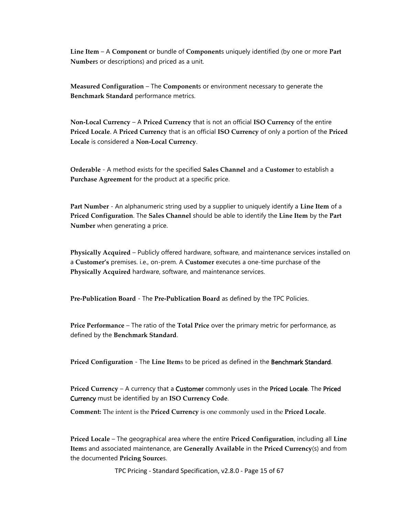**Line Item** – A **Component** or bundle of **Component**s uniquely identified (by one or more **Part Number**s or descriptions) and priced as a unit.

**Measured Configuration** – The **Component**s or environment necessary to generate the **Benchmark Standard** performance metrics.

**Non-Local Currency** – A **Priced Currency** that is not an official **ISO Currency** of the entire **Priced Locale**. A **Priced Currency** that is an official **ISO Currency** of only a portion of the **Priced Locale** is considered a **Non-Local Currency**.

**Orderable** - A method exists for the specified **Sales Channel** and a **Customer** to establish a **Purchase Agreement** for the product at a specific price.

**Part Number** - An alphanumeric string used by a supplier to uniquely identify a **Line Item** of a **Priced Configuration**. The **Sales Channel** should be able to identify the **Line Item** by the **Part Number** when generating a price.

**Physically Acquired** – Publicly offered hardware, software, and maintenance services installed on a **Customer's** premises. i.e., on-prem. A **Customer** executes a one-time purchase of the **Physically Acquired** hardware, software, and maintenance services.

**Pre-Publication Board** - The **Pre-Publication Board** as defined by the TPC Policies.

**Price Performance** – The ratio of the **Total Price** over the primary metric for performance, as defined by the **Benchmark Standard**.

**Priced Configuration** - The **Line Item**s to be priced as defined in the Benchmark Standard.

**Priced Currency** – A currency that a Customer commonly uses in the Priced Locale. The Priced Currency must be identified by an **ISO Currency Code**.

**Comment:** The intent is the **Priced Currency** is one commonly used in the **Priced Locale**.

**Priced Locale** – The geographical area where the entire **Priced Configuration**, including all **Line Item**s and associated maintenance, are **Generally Available** in the **Priced Currency**(s) and from the documented **Pricing Source**s.

TPC Pricing - Standard Specification, v2.8.0 - Page 15 of 67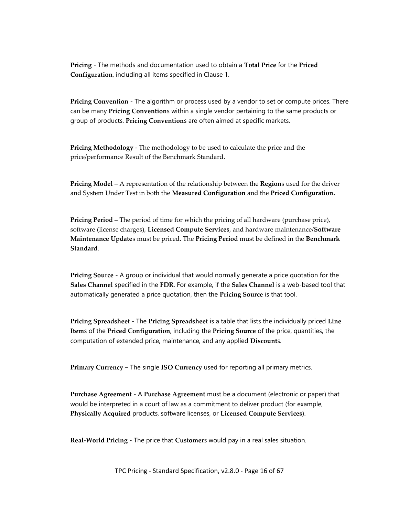**Pricing** - The methods and documentation used to obtain a **Total Price** for the **Priced Configuration**, including all items specified in Clause 1.

**Pricing Convention** - The algorithm or process used by a vendor to set or compute prices. There can be many **Pricing Convention**s within a single vendor pertaining to the same products or group of products. **Pricing Convention**s are often aimed at specific markets.

**Pricing Methodology** - The methodology to be used to calculate the price and the price/performance Result of the Benchmark Standard.

**Pricing Model –** A representation of the relationship between the **Region**s used for the driver and System Under Test in both the **Measured Configuration** and the **Priced Configuration.**

**Pricing Period –** The period of time for which the pricing of all hardware (purchase price), software (license charges), **Licensed Compute Services**, and hardware maintenance/**Software Maintenance Update**s must be priced. The **Pricing Period** must be defined in the **Benchmark Standard**.

**Pricing Source** - A group or individual that would normally generate a price quotation for the **Sales Channel** specified in the **FDR**. For example, if the **Sales Channel** is a web-based tool that automatically generated a price quotation, then the **Pricing Source** is that tool.

**Pricing Spreadsheet** - The **Pricing Spreadsheet** is a table that lists the individually priced **Line Item**s of the **Priced Configuration**, including the **Pricing Source** of the price, quantities, the computation of extended price, maintenance, and any applied **Discount**s.

**Primary Currency** – The single **ISO Currency** used for reporting all primary metrics.

**Purchase Agreement** - A **Purchase Agreement** must be a document (electronic or paper) that would be interpreted in a court of law as a commitment to deliver product (for example, **Physically Acquired** products, software licenses, or **Licensed Compute Services**).

**Real-World Pricing** - The price that **Customer**s would pay in a real sales situation.

TPC Pricing - Standard Specification, v2.8.0 - Page 16 of 67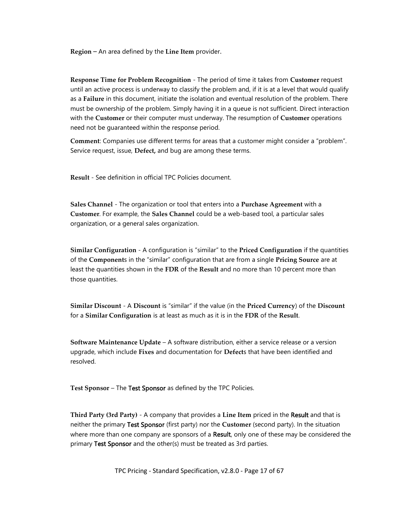**Region** – An area defined by the **Line Item** provider.

**Response Time for Problem Recognition** - The period of time it takes from **Customer** request until an active process is underway to classify the problem and, if it is at a level that would qualify as a **Failure** in this document, initiate the isolation and eventual resolution of the problem. There must be ownership of the problem. Simply having it in a queue is not sufficient. Direct interaction with the **Customer** or their computer must underway. The resumption of **Customer** operations need not be guaranteed within the response period.

**Comment**: Companies use different terms for areas that a customer might consider a "problem". Service request, issue, **Defect,** and bug are among these terms.

**Result** - See definition in official TPC Policies document.

**Sales Channel** - The organization or tool that enters into a **Purchase Agreement** with a **Customer**. For example, the **Sales Channel** could be a web-based tool, a particular sales organization, or a general sales organization.

**Similar Configuration** - A configuration is "similar" to the **Priced Configuration** if the quantities of the **Component**s in the "similar" configuration that are from a single **Pricing Source** are at least the quantities shown in the **FDR** of the **Result** and no more than 10 percent more than those quantities.

**Similar Discount** - A **Discount** is "similar" if the value (in the **Priced Currency**) of the **Discount** for a **Similar Configuration** is at least as much as it is in the **FDR** of the **Result**.

**Software Maintenance Update** – A software distribution, either a service release or a version upgrade, which include **Fixes** and documentation for **Defect**s that have been identified and resolved.

**Test Sponsor** – The Test Sponsor as defined by the TPC Policies.

**Third Party (3rd Party)** - A company that provides a **Line Item** priced in the Result and that is neither the primary Test Sponsor (first party) nor the **Customer** (second party). In the situation where more than one company are sponsors of a Result, only one of these may be considered the primary Test Sponsor and the other(s) must be treated as 3rd parties.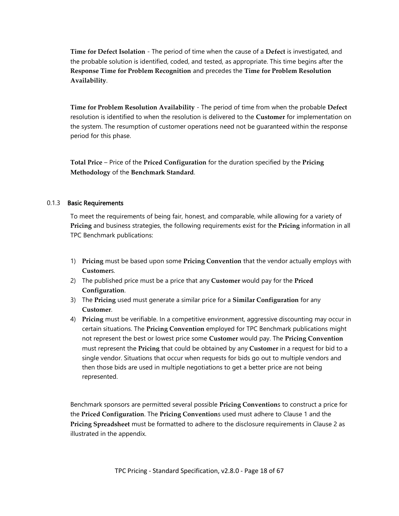**Time for Defect Isolation** - The period of time when the cause of a **Defect** is investigated, and the probable solution is identified, coded, and tested, as appropriate. This time begins after the **Response Time for Problem Recognition** and precedes the **Time for Problem Resolution Availability**.

**Time for Problem Resolution Availability** - The period of time from when the probable **Defect** resolution is identified to when the resolution is delivered to the **Customer** for implementation on the system. The resumption of customer operations need not be guaranteed within the response period for this phase.

**Total Price** – Price of the **Priced Configuration** for the duration specified by the **Pricing Methodology** of the **Benchmark Standard**.

#### 0.1.3 Basic Requirements

To meet the requirements of being fair, honest, and comparable, while allowing for a variety of **Pricing** and business strategies, the following requirements exist for the **Pricing** information in all TPC Benchmark publications:

- 1) **Pricing** must be based upon some **Pricing Convention** that the vendor actually employs with **Customer**s.
- 2) The published price must be a price that any **Customer** would pay for the **Priced Configuration**.
- 3) The **Pricing** used must generate a similar price for a **Similar Configuration** for any **Customer**.
- 4) **Pricing** must be verifiable. In a competitive environment, aggressive discounting may occur in certain situations. The **Pricing Convention** employed for TPC Benchmark publications might not represent the best or lowest price some **Customer** would pay. The **Pricing Convention** must represent the **Pricing** that could be obtained by any **Customer** in a request for bid to a single vendor. Situations that occur when requests for bids go out to multiple vendors and then those bids are used in multiple negotiations to get a better price are not being represented.

Benchmark sponsors are permitted several possible **Pricing Convention**s to construct a price for the **Priced Configuration**. The **Pricing Convention**s used must adhere to Clause 1 and the **Pricing Spreadsheet** must be formatted to adhere to the disclosure requirements in Clause 2 as illustrated in the appendix.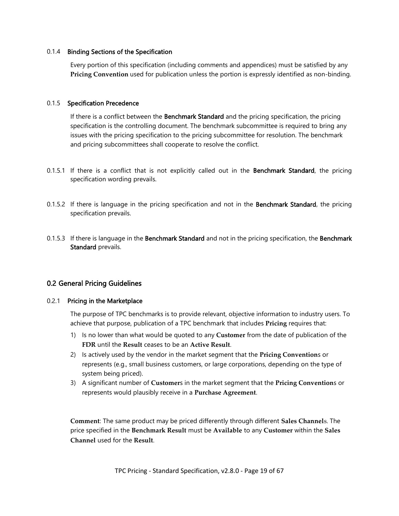#### 0.1.4 Binding Sections of the Specification

Every portion of this specification (including comments and appendices) must be satisfied by any **Pricing Convention** used for publication unless the portion is expressly identified as non-binding.

### 0.1.5 Specification Precedence

If there is a conflict between the **Benchmark Standard** and the pricing specification, the pricing specification is the controlling document. The benchmark subcommittee is required to bring any issues with the pricing specification to the pricing subcommittee for resolution. The benchmark and pricing subcommittees shall cooperate to resolve the conflict.

- 0.1.5.1 If there is a conflict that is not explicitly called out in the **Benchmark Standard**, the pricing specification wording prevails.
- 0.1.5.2 If there is language in the pricing specification and not in the Benchmark Standard, the pricing specification prevails.
- 0.1.5.3 If there is language in the Benchmark Standard and not in the pricing specification, the Benchmark Standard prevails.

## <span id="page-18-0"></span>0.2 General Pricing Guidelines

#### 0.2.1 Pricing in the Marketplace

The purpose of TPC benchmarks is to provide relevant, objective information to industry users. To achieve that purpose, publication of a TPC benchmark that includes **Pricing** requires that:

- 1) Is no lower than what would be quoted to any **Customer** from the date of publication of the **FDR** until the **Result** ceases to be an **Active Result**.
- 2) Is actively used by the vendor in the market segment that the **Pricing Convention**s or represents (e.g., small business customers, or large corporations, depending on the type of system being priced).
- 3) A significant number of **Customer**s in the market segment that the **Pricing Convention**s or represents would plausibly receive in a **Purchase Agreement**.

**Comment**: The same product may be priced differently through different **Sales Channel**s. The price specified in the **Benchmark Result** must be **Available** to any **Customer** within the **Sales Channel** used for the **Result**.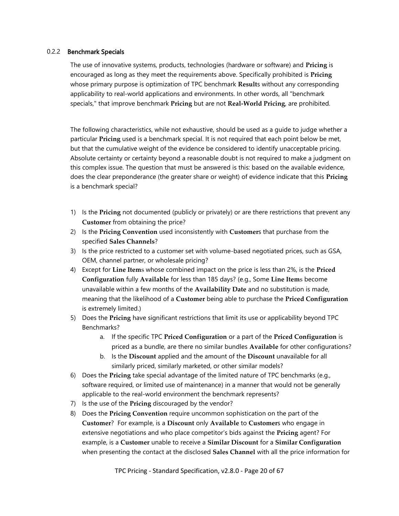#### 0.2.2 Benchmark Specials

The use of innovative systems, products, technologies (hardware or software) and **Pricing** is encouraged as long as they meet the requirements above. Specifically prohibited is **Pricing** whose primary purpose is optimization of TPC benchmark **Result**s without any corresponding applicability to real-world applications and environments. In other words, all "benchmark specials," that improve benchmark **Pricing** but are not **Real-World Pricing**, are prohibited.

The following characteristics, while not exhaustive, should be used as a guide to judge whether a particular **Pricing** used is a benchmark special. It is not required that each point below be met, but that the cumulative weight of the evidence be considered to identify unacceptable pricing. Absolute certainty or certainty beyond a reasonable doubt is not required to make a judgment on this complex issue. The question that must be answered is this: based on the available evidence, does the clear preponderance (the greater share or weight) of evidence indicate that this **Pricing** is a benchmark special?

- 1) Is the **Pricing** not documented (publicly or privately) or are there restrictions that prevent any **Customer** from obtaining the price?
- 2) Is the **Pricing Convention** used inconsistently with **Customer**s that purchase from the specified **Sales Channels**?
- 3) Is the price restricted to a customer set with volume-based negotiated prices, such as GSA, OEM, channel partner, or wholesale pricing?
- 4) Except for **Line Item**s whose combined impact on the price is less than 2%, is the **Priced Configuration** fully **Available** for less than 185 days? (e.g., Some **Line Item**s become unavailable within a few months of the **Availability Date** and no substitution is made, meaning that the likelihood of a **Customer** being able to purchase the **Priced Configuration** is extremely limited.)
- 5) Does the **Pricing** have significant restrictions that limit its use or applicability beyond TPC Benchmarks?
	- a. If the specific TPC **Priced Configuration** or a part of the **Priced Configuration** is priced as a bundle, are there no similar bundles **Available** for other configurations?
	- b. Is the **Discount** applied and the amount of the **Discount** unavailable for all similarly priced, similarly marketed, or other similar models?
- 6) Does the **Pricing** take special advantage of the limited nature of TPC benchmarks (e.g., software required, or limited use of maintenance) in a manner that would not be generally applicable to the real-world environment the benchmark represents?
- 7) Is the use of the **Pricing** discouraged by the vendor?
- 8) Does the **Pricing Convention** require uncommon sophistication on the part of the **Customer**? For example, is a **Discount** only **Available** to **Customer**s who engage in extensive negotiations and who place competitor's bids against the **Pricing** agent? For example, is a **Customer** unable to receive a **Similar Discount** for a **Similar Configuration** when presenting the contact at the disclosed **Sales Channel** with all the price information for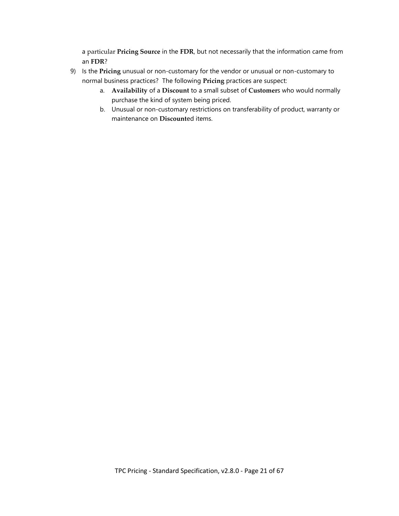a particular **Pricing Source** in the **FDR**, but not necessarily that the information came from an **FDR**?

- 9) Is the **Pricing** unusual or non-customary for the vendor or unusual or non-customary to normal business practices? The following **Pricing** practices are suspect:
	- a. **Availability** of a **Discount** to a small subset of **Customer**s who would normally purchase the kind of system being priced.
	- b. Unusual or non-customary restrictions on transferability of product, warranty or maintenance on **Discount**ed items.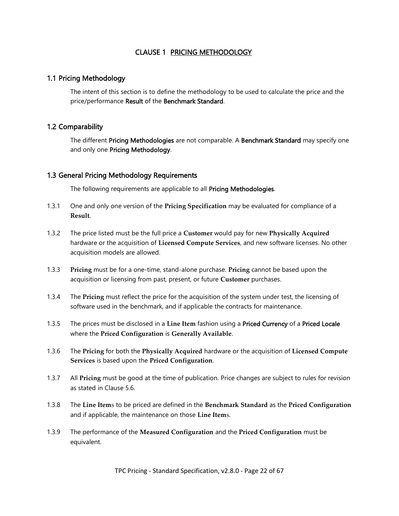## CLAUSE 1 PRICING METHODOLOGY

## <span id="page-21-1"></span><span id="page-21-0"></span>1.1 Pricing Methodology

The intent of this section is to define the methodology to be used to calculate the price and the price/performance Result of the Benchmark Standard.

## <span id="page-21-2"></span>1.2 Comparability

The different Pricing Methodologies are not comparable. A Benchmark Standard may specify one and only one Pricing Methodology.

## <span id="page-21-3"></span>1.3 General Pricing Methodology Requirements

The following requirements are applicable to all Pricing Methodologies.

- 1.3.1 One and only one version of the **Pricing Specification** may be evaluated for compliance of a **Result**.
- 1.3.2 The price listed must be the full price a **Customer** would pay for new **Physically Acquired** hardware or the acquisition of **Licensed Compute Services**, and new software licenses. No other acquisition models are allowed.
- 1.3.3 **Pricing** must be for a one-time, stand-alone purchase. **Pricing** cannot be based upon the acquisition or licensing from past, present, or future **Customer** purchases.
- 1.3.4 The **Pricing** must reflect the price for the acquisition of the system under test, the licensing of software used in the benchmark, and if applicable the contracts for maintenance.
- 1.3.5 The prices must be disclosed in a **Line Item** fashion using a Priced Currency of a Priced Locale where the **Priced Configuration** is **Generally Available**.
- 1.3.6 The **Pricing** for both the **Physically Acquired** hardware or the acquisition of **Licensed Compute Services** is based upon the **Priced Configuration**.
- 1.3.7 All **Pricing** must be good at the time of publication. Price changes are subject to rules for revision as stated in Clause [5.6.](#page-42-1)
- 1.3.8 The **Line Item**s to be priced are defined in the **Benchmark Standard** as the **Priced Configuration** and if applicable, the maintenance on those **Line Item**s.
- 1.3.9 The performance of the **Measured Configuration** and the **Priced Configuration** must be equivalent.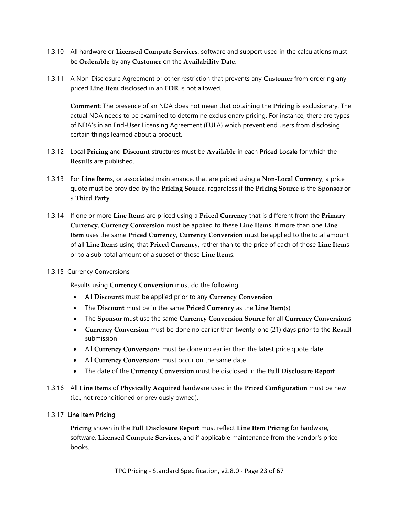- 1.3.10 All hardware or **Licensed Compute Services**, software and support used in the calculations must be **Orderable** by any **Customer** on the **Availability Date**.
- 1.3.11 A Non-Disclosure Agreement or other restriction that prevents any **Customer** from ordering any priced **Line Item** disclosed in an **FDR** is not allowed.

**Comment**: The presence of an NDA does not mean that obtaining the **Pricing** is exclusionary. The actual NDA needs to be examined to determine exclusionary pricing. For instance, there are types of NDA's in an End-User Licensing Agreement (EULA) which prevent end users from disclosing certain things learned about a product.

- 1.3.12 Local **Pricing** and **Discount** structures must be **Available** in each Priced Locale for which the **Result**s are published.
- 1.3.13 For **Line Item**s, or associated maintenance, that are priced using a **Non-Local Currency**, a price quote must be provided by the **Pricing Source**, regardless if the **Pricing Source** is the **Sponsor** or a **Third Party**.
- 1.3.14 If one or more **Line Item**s are priced using a **Priced Currency** that is different from the **Primary Currency**, **Currency Conversion** must be applied to these **Line Item**s. If more than one **Line Item** uses the same **Priced Currency**, **Currency Conversion** must be applied to the total amount of all **Line Item**s using that **Priced Currency**, rather than to the price of each of those **Line Item**s or to a sub-total amount of a subset of those **Line Item**s.
- 1.3.15 Currency Conversions

Results using **Currency Conversion** must do the following:

- All **Discount**s must be applied prior to any **Currency Conversion**
- The **Discount** must be in the same **Priced Currency** as the **Line Item**(s)
- The **Sponsor** must use the same **Currency Conversion Source** for all **Currency Conversion**s
- **Currency Conversion** must be done no earlier than twenty-one (21) days prior to the **Result** submission
- All **Currency Conversion**s must be done no earlier than the latest price quote date
- All **Currency Conversion**s must occur on the same date
- The date of the **Currency Conversion** must be disclosed in the **Full Disclosure Report**
- 1.3.16 All **Line Item**s of **Physically Acquired** hardware used in the **Priced Configuration** must be new (i.e., not reconditioned or previously owned).

#### 1.3.17 Line Item Pricing

**Pricing** shown in the **Full Disclosure Report** must reflect **Line Item Pricing** for hardware, software, **Licensed Compute Services**, and if applicable maintenance from the vendor's price books.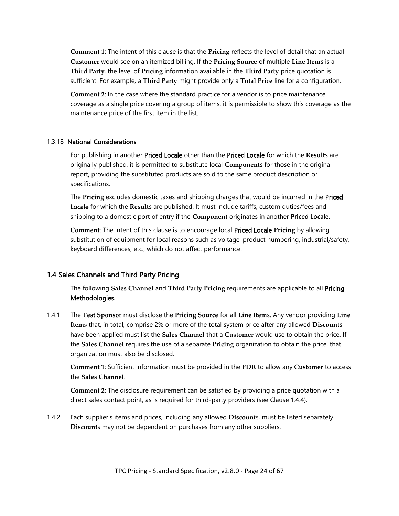**Comment 1**: The intent of this clause is that the **Pricing** reflects the level of detail that an actual **Customer** would see on an itemized billing. If the **Pricing Source** of multiple **Line Item**s is a **Third Party**, the level of **Pricing** information available in the **Third Party** price quotation is sufficient. For example, a **Third Party** might provide only a **Total Price** line for a configuration.

**Comment 2**: In the case where the standard practice for a vendor is to price maintenance coverage as a single price covering a group of items, it is permissible to show this coverage as the maintenance price of the first item in the list.

#### 1.3.18 National Considerations

For publishing in another Priced Locale other than the Priced Locale for which the **Result**s are originally published, it is permitted to substitute local **Component**s for those in the original report, providing the substituted products are sold to the same product description or specifications.

The **Pricing** excludes domestic taxes and shipping charges that would be incurred in the Priced Locale for which the **Result**s are published. It must include tariffs, custom duties/fees and shipping to a domestic port of entry if the **Component** originates in another Priced Locale.

**Comment**: The intent of this clause is to encourage local Priced Locale **Pricing** by allowing substitution of equipment for local reasons such as voltage, product numbering, industrial/safety, keyboard differences, etc., which do not affect performance.

## <span id="page-23-0"></span>1.4 Sales Channels and Third Party Pricing

The following **Sales Channel** and **Third Party Pricing** requirements are applicable to all Pricing Methodologies.

1.4.1 The **Test Sponsor** must disclose the **Pricing Source** for all **Line Item**s. Any vendor providing **Line Item**s that, in total, comprise 2% or more of the total system price after any allowed **Discount**s have been applied must list the **Sales Channel** that a **Customer** would use to obtain the price. If the **Sales Channel** requires the use of a separate **Pricing** organization to obtain the price, that organization must also be disclosed.

**Comment 1**: Sufficient information must be provided in the **FDR** to allow any **Customer** to access the **Sales Channel**.

**Comment 2**: The disclosure requirement can be satisfied by providing a price quotation with a direct sales contact point, as is required for third-party providers (see Clause [1.4.4\)](#page-24-1).

1.4.2 Each supplier's items and prices, including any allowed **Discount**s, must be listed separately. **Discount**s may not be dependent on purchases from any other suppliers.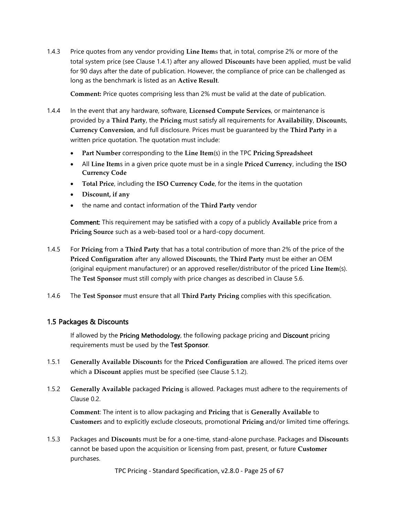1.4.3 Price quotes from any vendor providing **Line Item**s that, in total, comprise 2% or more of the total system price (see Clause 1.4.1) after any allowed **Discount**s have been applied, must be valid for 90 days after the date of publication. However, the compliance of price can be challenged as long as the benchmark is listed as an **Active Result**.

**Comment:** Price quotes comprising less than 2% must be valid at the date of publication.

- <span id="page-24-1"></span>1.4.4 In the event that any hardware, software, **Licensed Compute Services**, or maintenance is provided by a **Third Party**, the **Pricing** must satisfy all requirements for **Availability**, **Discount**s, **Currency Conversion**, and full disclosure. Prices must be guaranteed by the **Third Party** in a written price quotation. The quotation must include:
	- **Part Number** corresponding to the **Line Item**(s) in the TPC **Pricing Spreadsheet**
	- All **Line Item**s in a given price quote must be in a single **Priced Currency**, including the **ISO Currency Code**
	- **Total Price**, including the **ISO Currency Code**, for the items in the quotation
	- **Discount, if any**
	- the name and contact information of the **Third Party** vendor

Comment: This requirement may be satisfied with a copy of a publicly **Available** price from a **Pricing Source** such as a web-based tool or a hard-copy document.

- 1.4.5 For **Pricing** from a **Third Party** that has a total contribution of more than 2% of the price of the **Priced Configuration** after any allowed **Discount**s, the **Third Party** must be either an OEM (original equipment manufacturer) or an approved reseller/distributor of the priced **Line Item**(s). The **Test Sponsor** must still comply with price changes as described in Clause [5.6.](#page-42-1)
- <span id="page-24-0"></span>1.4.6 The **Test Sponsor** must ensure that all **Third Party Pricing** complies with this specification.

## 1.5 Packages & Discounts

If allowed by the **Pricing Methodology**, the following package pricing and **Discount** pricing requirements must be used by the Test Sponsor.

- 1.5.1 **Generally Available Discount**s for the **Priced Configuration** are allowed. The priced items over which a **Discount** applies must be specified (see Claus[e 5.1.2\)](#page-37-3).
- 1.5.2 **Generally Available** packaged **Pricing** is allowed. Packages must adhere to the requirements of Clause [0.2.](#page-18-0)

**Comment**: The intent is to allow packaging and **Pricing** that is **Generally Available** to **Customer**s and to explicitly exclude closeouts, promotional **Pricing** and/or limited time offerings.

1.5.3 Packages and **Discount**s must be for a one-time, stand-alone purchase. Packages and **Discount**s cannot be based upon the acquisition or licensing from past, present, or future **Customer** purchases.

TPC Pricing - Standard Specification, v2.8.0 - Page 25 of 67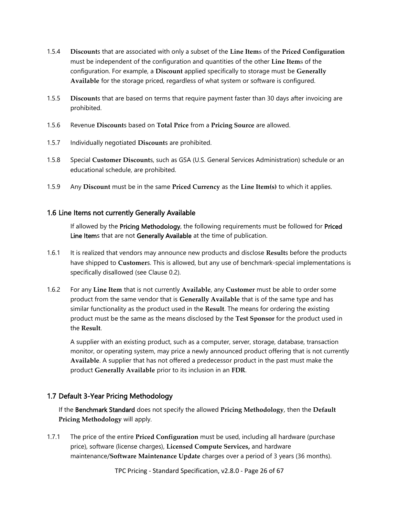- 1.5.4 **Discount**s that are associated with only a subset of the **Line Item**s of the **Priced Configuration** must be independent of the configuration and quantities of the other **Line Item**s of the configuration. For example, a **Discount** applied specifically to storage must be **Generally Available** for the storage priced, regardless of what system or software is configured.
- 1.5.5 **Discount**s that are based on terms that require payment faster than 30 days after invoicing are prohibited.
- 1.5.6 Revenue **Discount**s based on **Total Price** from a **Pricing Source** are allowed.
- 1.5.7 Individually negotiated **Discount**s are prohibited.
- 1.5.8 Special **Customer Discount**s, such as GSA (U.S. General Services Administration) schedule or an educational schedule, are prohibited.
- <span id="page-25-0"></span>1.5.9 Any **Discount** must be in the same **Priced Currency** as the **Line Item(s)** to which it applies.

## 1.6 Line Items not currently Generally Available

If allowed by the Pricing Methodology, the following requirements must be followed for Priced Line Items that are not Generally Available at the time of publication.

- 1.6.1 It is realized that vendors may announce new products and disclose **Result**s before the products have shipped to **Customer**s. This is allowed, but any use of benchmark-special implementations is specifically disallowed (see Clause [0.2\)](#page-18-0).
- 1.6.2 For any **Line Item** that is not currently **Available**, any **Customer** must be able to order some product from the same vendor that is **Generally Available** that is of the same type and has similar functionality as the product used in the **Result**. The means for ordering the existing product must be the same as the means disclosed by the **Test Sponsor** for the product used in the **Result**.

A supplier with an existing product, such as a computer, server, storage, database, transaction monitor, or operating system, may price a newly announced product offering that is not currently **Available**. A supplier that has not offered a predecessor product in the past must make the product **Generally Available** prior to its inclusion in an **FDR**.

## <span id="page-25-1"></span>1.7 Default 3-Year Pricing Methodology

If the Benchmark Standard does not specify the allowed **Pricing Methodology**, then the **Default Pricing Methodology** will apply.

1.7.1 The price of the entire **Priced Configuration** must be used, including all hardware (purchase price), software (license charges), **Licensed Compute Services,** and hardware maintenance/**Software Maintenance Update** charges over a period of 3 years (36 months).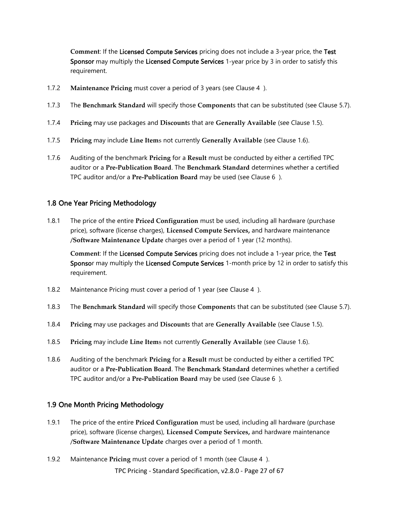**Comment**: If the Licensed Compute Services pricing does not include a 3-year price, the Test Sponsor may multiply the Licensed Compute Services 1-year price by 3 in order to satisfy this requirement.

- 1.7.2 **Maintenance Pricing** must cover a period of 3 years (see [Clause 4 \)](#page-32-0).
- 1.7.3 The **Benchmark Standard** will specify those **Component**s that can be substituted (see Clause [5.7\)](#page-45-0).
- 1.7.4 **Pricing** may use packages and **Discount**s that are **Generally Available** (see Clause [1.5\)](#page-24-0).
- 1.7.5 **Pricing** may include **Line Item**s not currently **Generally Available** (see Clause [1.6\)](#page-25-0).
- 1.7.6 Auditing of the benchmark **Pricing** for a **Result** must be conducted by either a certified TPC auditor or a **Pre-Publication Board**. The **Benchmark Standard** determines whether a certified TPC auditor and/or a **Pre-Publication Board** may be used (see [Clause 6 \)](#page-53-0).

## <span id="page-26-0"></span>1.8 One Year Pricing Methodology

1.8.1 The price of the entire **Priced Configuration** must be used, including all hardware (purchase price), software (license charges), **Licensed Compute Services,** and hardware maintenance /**Software Maintenance Update** charges over a period of 1 year (12 months).

**Comment**: If the Licensed Compute Services pricing does not include a 1-year price, the Test Sponsor may multiply the Licensed Compute Services 1-month price by 12 in order to satisfy this requirement.

- 1.8.2 Maintenance Pricing must cover a period of 1 year (see [Clause 4 \)](#page-32-0).
- 1.8.3 The **Benchmark Standard** will specify those **Component**s that can be substituted (see Clause [5.7\)](#page-45-0).
- 1.8.4 **Pricing** may use packages and **Discount**s that are **Generally Available** (see Clause [1.5\)](#page-24-0).
- 1.8.5 **Pricing** may include **Line Item**s not currently **Generally Available** (see Clause [1.6\)](#page-25-0).
- 1.8.6 Auditing of the benchmark **Pricing** for a **Result** must be conducted by either a certified TPC auditor or a **Pre-Publication Board**. The **Benchmark Standard** determines whether a certified TPC auditor and/or a **Pre-Publication Board** may be used (see [Clause 6 \)](#page-53-0).

## <span id="page-26-1"></span>1.9 One Month Pricing Methodology

- 1.9.1 The price of the entire **Priced Configuration** must be used, including all hardware (purchase price), software (license charges), **Licensed Compute Services,** and hardware maintenance /**Software Maintenance Update** charges over a period of 1 month.
- 1.9.2 Maintenance **Pricing** must cover a period of 1 month (see [Clause 4 \)](#page-32-0).

```
TPC Pricing - Standard Specification, v2.8.0 - Page 27 of 67
```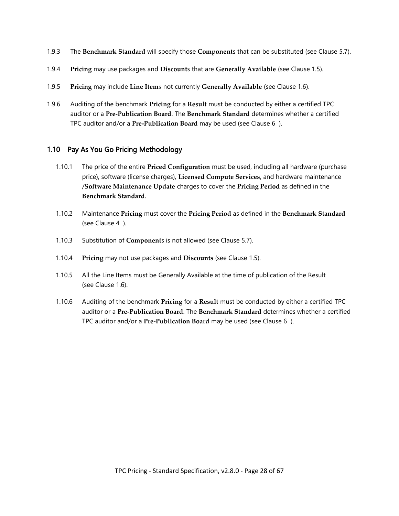- 1.9.3 The **Benchmark Standard** will specify those **Component**s that can be substituted (see Clause [5.7\)](#page-45-0).
- 1.9.4 **Pricing** may use packages and **Discount**s that are **Generally Available** (see Clause [1.5\)](#page-24-0).
- 1.9.5 **Pricing** may include **Line Item**s not currently **Generally Available** (see Clause [1.6\)](#page-25-0).
- 1.9.6 Auditing of the benchmark **Pricing** for a **Result** must be conducted by either a certified TPC auditor or a **Pre-Publication Board**. The **Benchmark Standard** determines whether a certified TPC auditor and/or a **Pre-Publication Board** may be used (see [Clause 6 \)](#page-53-0).

#### <span id="page-27-0"></span>1.10 Pay As You Go Pricing Methodology

- 1.10.1 The price of the entire **Priced Configuration** must be used, including all hardware (purchase price), software (license charges), **Licensed Compute Services**, and hardware maintenance /**Software Maintenance Update** charges to cover the **Pricing Period** as defined in the **Benchmark Standard**.
- 1.10.2 Maintenance **Pricing** must cover the **Pricing Period** as defined in the **Benchmark Standard** (see [Clause 4 \)](#page-32-0).
- 1.10.3 Substitution of **Component**s is not allowed (see Clause [5.7\)](#page-45-0).
- 1.10.4 **Pricing** may not use packages and **Discounts** (see Clause [1.5\)](#page-24-0).
- 1.10.5 All the Line Items must be Generally Available at the time of publication of the Result (see Clause [1.6\)](#page-25-0).
- 1.10.6 Auditing of the benchmark **Pricing** for a **Result** must be conducted by either a certified TPC auditor or a **Pre-Publication Board**. The **Benchmark Standard** determines whether a certified TPC auditor and/or a **Pre-Publication Board** may be used (see [Clause 6 \)](#page-53-0).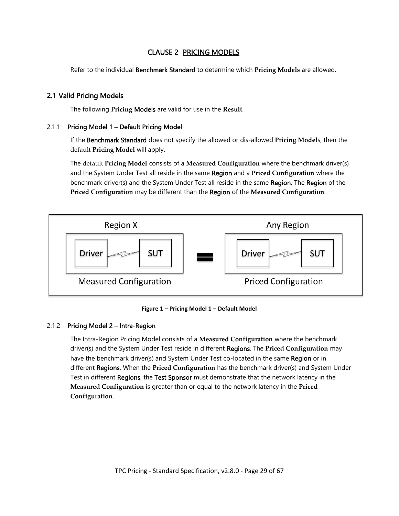## CLAUSE 2 PRICING MODELS

<span id="page-28-0"></span>Refer to the individual Benchmark Standard to determine which **Pricing Models** are allowed.

## <span id="page-28-1"></span>2.1 Valid Pricing Models

The following **Pricing** Models are valid for use in the **Result**.

### 2.1.1 Pricing Model 1 – Default Pricing Model

If the Benchmark Standard does not specify the allowed or dis-allowed **Pricing Model**s, then the default **Pricing Model** will apply.

The default **Pricing Model** consists of a **Measured Configuration** where the benchmark driver(s) and the System Under Test all reside in the same Region and a **Priced Configuration** where the benchmark driver(s) and the System Under Test all reside in the same Region. The Region of the **Priced Configuration** may be different than the Region of the **Measured Configuration**.



**Figure 1 – Pricing Model 1 – Default Model**

## 2.1.2 Pricing Model 2 – Intra-Region

The Intra-Region Pricing Model consists of a **Measured Configuration** where the benchmark driver(s) and the System Under Test reside in different Regions. The **Priced Configuration** may have the benchmark driver(s) and System Under Test co-located in the same Region or in different Regions. When the **Priced Configuration** has the benchmark driver(s) and System Under Test in different Regions, the Test Sponsor must demonstrate that the network latency in the **Measured Configuration** is greater than or equal to the network latency in the **Priced Configuration**.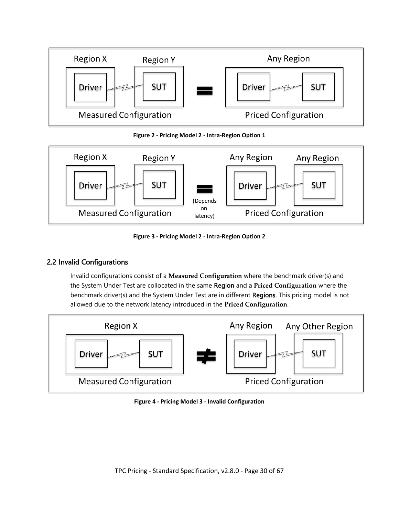

**Figure 2 - Pricing Model 2 - Intra-Region Option 1**



**Figure 3 - Pricing Model 2 - Intra-Region Option 2**

## <span id="page-29-0"></span>2.2 Invalid Configurations

Invalid configurations consist of a **Measured Configuration** where the benchmark driver(s) and the System Under Test are collocated in the same Region and a **Priced Configuration** where the benchmark driver(s) and the System Under Test are in different Regions. This pricing model is not allowed due to the network latency introduced in the **Priced Configuration**.



**Figure 4 - Pricing Model 3 - Invalid Configuration**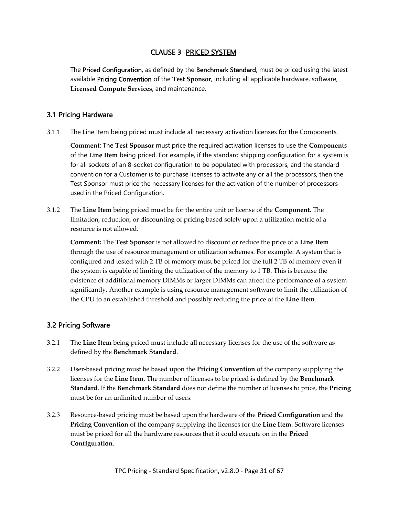## CLAUSE 3 PRICED SYSTEM

<span id="page-30-0"></span>The Priced Configuration, as defined by the Benchmark Standard, must be priced using the latest available Pricing Convention of the **Test Sponsor**, including all applicable hardware, software, **Licensed Compute Services**, and maintenance.

## <span id="page-30-1"></span>3.1 Pricing Hardware

3.1.1 The Line Item being priced must include all necessary activation licenses for the Components.

**Comment**: The **Test Sponsor** must price the required activation licenses to use the **Component**s of the **Line Item** being priced. For example, if the standard shipping configuration for a system is for all sockets of an 8-socket configuration to be populated with processors, and the standard convention for a Customer is to purchase licenses to activate any or all the processors, then the Test Sponsor must price the necessary licenses for the activation of the number of processors used in the Priced Configuration.

3.1.2 The **Line Item** being priced must be for the entire unit or license of the **Component**. The limitation, reduction, or discounting of pricing based solely upon a utilization metric of a resource is not allowed.

**Comment:** The **Test Sponsor** is not allowed to discount or reduce the price of a **Line Item** through the use of resource management or utilization schemes. For example: A system that is configured and tested with 2 TB of memory must be priced for the full 2 TB of memory even if the system is capable of limiting the utilization of the memory to 1 TB. This is because the existence of additional memory DIMMs or larger DIMMs can affect the performance of a system significantly. Another example is using resource management software to limit the utilization of the CPU to an established threshold and possibly reducing the price of the **Line Item**.

## <span id="page-30-2"></span>3.2 Pricing Software

- 3.2.1 The **Line Item** being priced must include all necessary licenses for the use of the software as defined by the **Benchmark Standard**.
- 3.2.2 User-based pricing must be based upon the **Pricing Convention** of the company supplying the licenses for the **Line Item**. The number of licenses to be priced is defined by the **Benchmark Standard**. If the **Benchmark Standard** does not define the number of licenses to price, the **Pricing** must be for an unlimited number of users.
- 3.2.3 Resource-based pricing must be based upon the hardware of the **Priced Configuration** and the **Pricing Convention** of the company supplying the licenses for the **Line Item**. Software licenses must be priced for all the hardware resources that it could execute on in the **Priced Configuration**.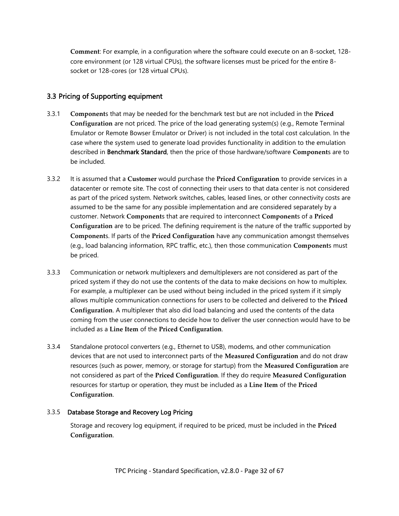**Comment**: For example, in a configuration where the software could execute on an 8-socket, 128 core environment (or 128 virtual CPUs), the software licenses must be priced for the entire 8 socket or 128-cores (or 128 virtual CPUs).

## <span id="page-31-0"></span>3.3 Pricing of Supporting equipment

- 3.3.1 **Component**s that may be needed for the benchmark test but are not included in the **Priced Configuration** are not priced. The price of the load generating system(s) (e.g., Remote Terminal Emulator or Remote Bowser Emulator or Driver) is not included in the total cost calculation. In the case where the system used to generate load provides functionality in addition to the emulation described in Benchmark Standard, then the price of those hardware/software **Component**s are to be included.
- 3.3.2 It is assumed that a **Customer** would purchase the **Priced Configuration** to provide services in a datacenter or remote site. The cost of connecting their users to that data center is not considered as part of the priced system. Network switches, cables, leased lines, or other connectivity costs are assumed to be the same for any possible implementation and are considered separately by a customer. Network **Component**s that are required to interconnect **Component**s of a **Priced Configuration** are to be priced. The defining requirement is the nature of the traffic supported by **Component**s. If parts of the **Priced Configuration** have any communication amongst themselves (e.g., load balancing information, RPC traffic, etc.), then those communication **Component**s must be priced.
- <span id="page-31-1"></span>3.3.3 Communication or network multiplexers and demultiplexers are not considered as part of the priced system if they do not use the contents of the data to make decisions on how to multiplex. For example, a multiplexer can be used without being included in the priced system if it simply allows multiple communication connections for users to be collected and delivered to the **Priced Configuration**. A multiplexer that also did load balancing and used the contents of the data coming from the user connections to decide how to deliver the user connection would have to be included as a **Line Item** of the **Priced Configuration**.
- 3.3.4 Standalone protocol converters (e.g., Ethernet to USB), modems, and other communication devices that are not used to interconnect parts of the **Measured Configuration** and do not draw resources (such as power, memory, or storage for startup) from the **Measured Configuration** are not considered as part of the **Priced Configuration**. If they do require **Measured Configuration** resources for startup or operation, they must be included as a **Line Item** of the **Priced Configuration**.

## 3.3.5 Database Storage and Recovery Log Pricing

Storage and recovery log equipment, if required to be priced, must be included in the **Priced Configuration**.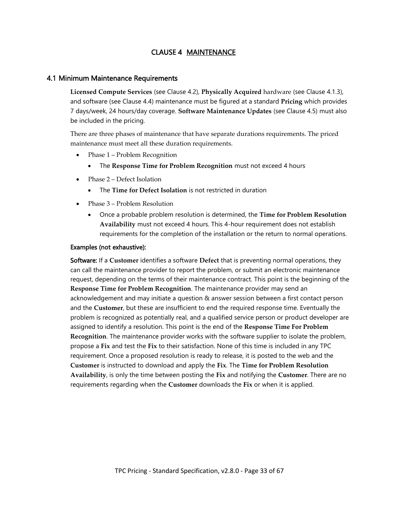## CLAUSE 4 MAINTENANCE

### <span id="page-32-1"></span><span id="page-32-0"></span>4.1 Minimum Maintenance Requirements

**Licensed Compute Services** (see Clause 4.2), **Physically Acquired** hardware (see Clause 4.1.3), and software (see Clause 4.4) maintenance must be figured at a standard **Pricing** which provides 7 days/week, 24 hours/day coverage. **Software Maintenance Updates** (see Clause 4.5) must also be included in the pricing.

There are three phases of maintenance that have separate durations requirements. The priced maintenance must meet all these duration requirements.

- Phase 1 Problem Recognition
	- The **Response Time for Problem Recognition** must not exceed 4 hours
- Phase 2 Defect Isolation
	- The **Time for Defect Isolation** is not restricted in duration
- Phase 3 Problem Resolution
	- Once a probable problem resolution is determined, the **Time for Problem Resolution Availability** must not exceed 4 hours. This 4-hour requirement does not establish requirements for the completion of the installation or the return to normal operations.

#### Examples (not exhaustive):

Software: If a **Customer** identifies a software **Defect** that is preventing normal operations, they can call the maintenance provider to report the problem, or submit an electronic maintenance request, depending on the terms of their maintenance contract. This point is the beginning of the **Response Time for Problem Recognition**. The maintenance provider may send an acknowledgement and may initiate a question & answer session between a first contact person and the **Customer**, but these are insufficient to end the required response time. Eventually the problem is recognized as potentially real, and a qualified service person or product developer are assigned to identify a resolution. This point is the end of the **Response Time For Problem Recognition**. The maintenance provider works with the software supplier to isolate the problem, propose a **Fix** and test the **Fix** to their satisfaction. None of this time is included in any TPC requirement. Once a proposed resolution is ready to release, it is posted to the web and the **Customer** is instructed to download and apply the **Fix**. The **Time for Problem Resolution Availability**, is only the time between posting the **Fix** and notifying the **Customer**. There are no requirements regarding when the **Customer** downloads the **Fix** or when it is applied.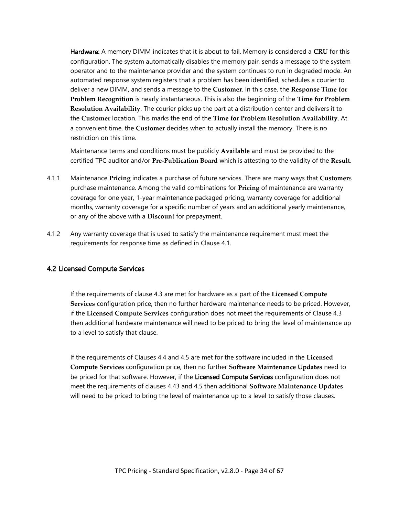Hardware: A memory DIMM indicates that it is about to fail. Memory is considered a **CRU** for this configuration. The system automatically disables the memory pair, sends a message to the system operator and to the maintenance provider and the system continues to run in degraded mode. An automated response system registers that a problem has been identified, schedules a courier to deliver a new DIMM, and sends a message to the **Customer**. In this case, the **Response Time for Problem Recognition** is nearly instantaneous. This is also the beginning of the **Time for Problem Resolution Availability**. The courier picks up the part at a distribution center and delivers it to the **Customer** location. This marks the end of the **Time for Problem Resolution Availability**. At a convenient time, the **Customer** decides when to actually install the memory. There is no restriction on this time.

Maintenance terms and conditions must be publicly **Available** and must be provided to the certified TPC auditor and/or **Pre-Publication Board** which is attesting to the validity of the **Result**.

- 4.1.1 Maintenance **Pricing** indicates a purchase of future services. There are many ways that **Customer**s purchase maintenance. Among the valid combinations for **Pricing** of maintenance are warranty coverage for one year, 1-year maintenance packaged pricing, warranty coverage for additional months, warranty coverage for a specific number of years and an additional yearly maintenance, or any of the above with a **Discount** for prepayment.
- 4.1.2 Any warranty coverage that is used to satisfy the maintenance requirement must meet the requirements for response time as defined in Clause 4.1.

## <span id="page-33-0"></span>4.2 Licensed Compute Services

If the requirements of clause 4.3 are met for hardware as a part of the **Licensed Compute Services** configuration price, then no further hardware maintenance needs to be priced. However, if the **Licensed Compute Services** configuration does not meet the requirements of Clause 4.3 then additional hardware maintenance will need to be priced to bring the level of maintenance up to a level to satisfy that clause.

If the requirements of Clauses 4.4 and 4.5 are met for the software included in the **Licensed Compute Services** configuration price, then no further **Software Maintenance Updates** need to be priced for that software. However, if the Licensed Compute Services configuration does not meet the requirements of clauses 4.43 and 4.5 then additional **Software Maintenance Updates** will need to be priced to bring the level of maintenance up to a level to satisfy those clauses.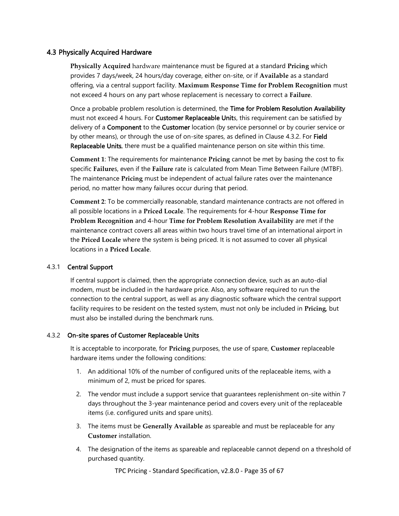## <span id="page-34-0"></span>4.3 Physically Acquired Hardware

**Physically Acquired** hardware maintenance must be figured at a standard **Pricing** which provides 7 days/week, 24 hours/day coverage, either on-site, or if **Available** as a standard offering, via a central support facility. **Maximum Response Time for Problem Recognition** must not exceed 4 hours on any part whose replacement is necessary to correct a **Failure**.

Once a probable problem resolution is determined, the Time for Problem Resolution Availability must not exceed 4 hours. For Customer Replaceable Units, this requirement can be satisfied by delivery of a Component to the Customer location (by service personnel or by courier service or by other means), or through the use of on-site spares, as defined in Clause [4.3.2.](#page-34-1) For Field Replaceable Units, there must be a qualified maintenance person on site within this time.

**Comment 1**: The requirements for maintenance **Pricing** cannot be met by basing the cost to fix specific **Failure**s, even if the **Failure** rate is calculated from Mean Time Between Failure (MTBF). The maintenance **Pricing** must be independent of actual failure rates over the maintenance period, no matter how many failures occur during that period.

**Comment 2**: To be commercially reasonable, standard maintenance contracts are not offered in all possible locations in a **Priced Locale**. The requirements for 4-hour **Response Time for Problem Recognition** and 4-hour **Time for Problem Resolution Availability** are met if the maintenance contract covers all areas within two hours travel time of an international airport in the **Priced Locale** where the system is being priced. It is not assumed to cover all physical locations in a **Priced Locale**.

## 4.3.1 Central Support

If central support is claimed, then the appropriate connection device, such as an auto-dial modem, must be included in the hardware price. Also, any software required to run the connection to the central support, as well as any diagnostic software which the central support facility requires to be resident on the tested system, must not only be included in **Pricing**, but must also be installed during the benchmark runs.

#### <span id="page-34-1"></span>4.3.2 On-site spares of Customer Replaceable Units

It is acceptable to incorporate, for **Pricing** purposes, the use of spare, **Customer** replaceable hardware items under the following conditions:

- 1. An additional 10% of the number of configured units of the replaceable items, with a minimum of 2, must be priced for spares.
- 2. The vendor must include a support service that guarantees replenishment on-site within 7 days throughout the 3-year maintenance period and covers every unit of the replaceable items (i.e. configured units and spare units).
- 3. The items must be **Generally Available** as spareable and must be replaceable for any **Customer** installation.
- 4. The designation of the items as spareable and replaceable cannot depend on a threshold of purchased quantity.

TPC Pricing - Standard Specification, v2.8.0 - Page 35 of 67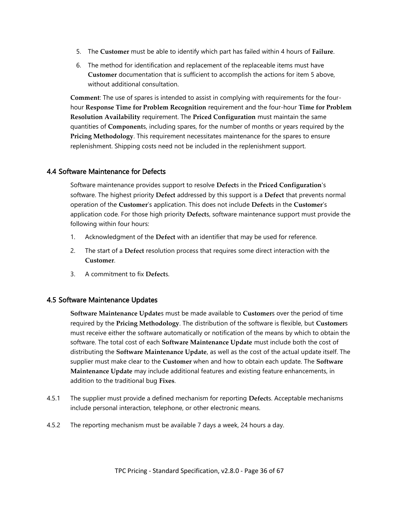- 5. The **Customer** must be able to identify which part has failed within 4 hours of **Failure**.
- 6. The method for identification and replacement of the replaceable items must have **Customer** documentation that is sufficient to accomplish the actions for item 5 above, without additional consultation.

**Comment**: The use of spares is intended to assist in complying with requirements for the fourhour **Response Time for Problem Recognition** requirement and the four-hour **Time for Problem Resolution Availability** requirement. The **Priced Configuration** must maintain the same quantities of **Component**s, including spares, for the number of months or years required by the **Pricing Methodology**. This requirement necessitates maintenance for the spares to ensure replenishment. Shipping costs need not be included in the replenishment support.

### <span id="page-35-0"></span>4.4 Software Maintenance for Defects

Software maintenance provides support to resolve **Defect**s in the **Priced Configuration**'s software. The highest priority **Defect** addressed by this support is a **Defect** that prevents normal operation of the **Customer**'s application. This does not include **Defect**s in the **Customer**'s application code. For those high priority **Defect**s, software maintenance support must provide the following within four hours:

- 1. Acknowledgment of the **Defect** with an identifier that may be used for reference.
- 2. The start of a **Defect** resolution process that requires some direct interaction with the **Customer**.
- 3. A commitment to fix **Defect**s.

## <span id="page-35-1"></span>4.5 Software Maintenance Updates

**Software Maintenance Update**s must be made available to **Customer**s over the period of time required by the **Pricing Methodology**. The distribution of the software is flexible, but **Customer**s must receive either the software automatically or notification of the means by which to obtain the software. The total cost of each **Software Maintenance Update** must include both the cost of distributing the **Software Maintenance Update**, as well as the cost of the actual update itself. The supplier must make clear to the **Customer** when and how to obtain each update. The **Software Maintenance Update** may include additional features and existing feature enhancements, in addition to the traditional bug **Fixes**.

- 4.5.1 The supplier must provide a defined mechanism for reporting **Defect**s. Acceptable mechanisms include personal interaction, telephone, or other electronic means.
- 4.5.2 The reporting mechanism must be available 7 days a week, 24 hours a day.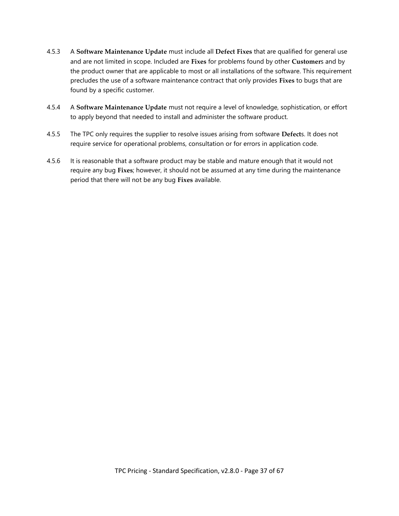- 4.5.3 A **Software Maintenance Update** must include all **Defect Fixes** that are qualified for general use and are not limited in scope. Included are **Fixes** for problems found by other **Customer**s and by the product owner that are applicable to most or all installations of the software. This requirement precludes the use of a software maintenance contract that only provides **Fixes** to bugs that are found by a specific customer.
- 4.5.4 A **Software Maintenance Update** must not require a level of knowledge, sophistication, or effort to apply beyond that needed to install and administer the software product.
- 4.5.5 The TPC only requires the supplier to resolve issues arising from software **Defect**s. It does not require service for operational problems, consultation or for errors in application code.
- 4.5.6 It is reasonable that a software product may be stable and mature enough that it would not require any bug **Fixes**; however, it should not be assumed at any time during the maintenance period that there will not be any bug **Fixes** available.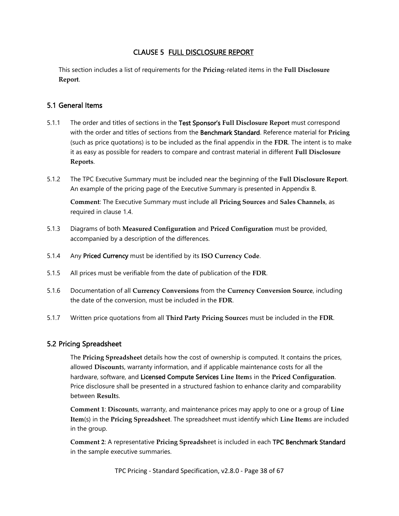## <span id="page-37-3"></span>CLAUSE 5 FULL DISCLOSURE REPORT

<span id="page-37-0"></span>This section includes a list of requirements for the **Pricing**-related items in the **Full Disclosure Report**.

## <span id="page-37-1"></span>5.1 General Items

- 5.1.1 The order and titles of sections in the Test Sponsor's **Full Disclosure Report** must correspond with the order and titles of sections from the Benchmark Standard. Reference material for **Pricing** (such as price quotations) is to be included as the final appendix in the **FDR**. The intent is to make it as easy as possible for readers to compare and contrast material in different **Full Disclosure Reports**.
- 5.1.2 The TPC Executive Summary must be included near the beginning of the **Full Disclosure Report**. An example of the pricing page of the Executive Summary is presented in Appendix B.

**Comment**: The Executive Summary must include all **Pricing Sources** and **Sales Channels**, as required in clause [1.4.](#page-23-0)

- 5.1.3 Diagrams of both **Measured Configuration** and **Priced Configuration** must be provided, accompanied by a description of the differences.
- 5.1.4 Any Priced Currency must be identified by its **ISO Currency Code**.
- 5.1.5 All prices must be verifiable from the date of publication of the **FDR**.
- 5.1.6 Documentation of all **Currency Conversions** from the **Currency Conversion Source**, including the date of the conversion, must be included in the **FDR**.
- 5.1.7 Written price quotations from all **Third Party Pricing Source**s must be included in the **FDR**.

## <span id="page-37-2"></span>5.2 Pricing Spreadsheet

The **Pricing Spreadsheet** details how the cost of ownership is computed. It contains the prices, allowed **Discount**s, warranty information, and if applicable maintenance costs for all the hardware, software, and Licensed Compute Services **Line Item**s in the **Priced Configuration**. Price disclosure shall be presented in a structured fashion to enhance clarity and comparability between **Result**s.

**Comment 1**: **Discount**s, warranty, and maintenance prices may apply to one or a group of **Line Item**(s) in the **Pricing Spreadsheet**. The spreadsheet must identify which **Line Item**s are included in the group.

**Comment 2**: A representative **Pricing Spreadsh**eet is included in each TPC Benchmark Standard in the sample executive summaries.

TPC Pricing - Standard Specification, v2.8.0 - Page 38 of 67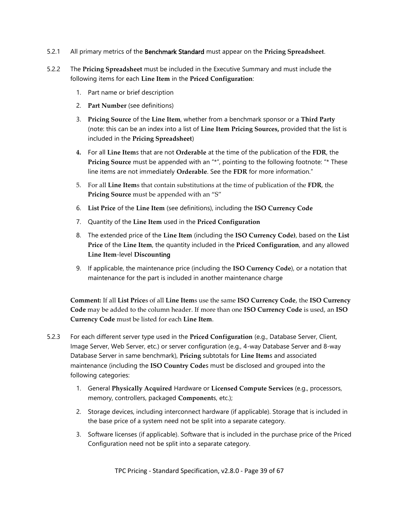- 5.2.1 All primary metrics of the Benchmark Standard must appear on the **Pricing Spreadsheet**.
- 5.2.2 The **Pricing Spreadsheet** must be included in the Executive Summary and must include the following items for each **Line Item** in the **Priced Configuration**:
	- 1. Part name or brief description
	- 2. **Part Number** (see definitions)
	- 3. **Pricing Source** of the **Line Item**, whether from a benchmark sponsor or a **Third Party** (note: this can be an index into a list of **Line Item Pricing Sources,** provided that the list is included in the **Pricing Spreadsheet**)
	- **4.** For all **Line Item**s that are not **Orderable** at the time of the publication of the **FDR**, the **Pricing Source** must be appended with an "\*", pointing to the following footnote: "\* These line items are not immediately **Orderable**. See the **FDR** for more information."
	- 5. For all **Line Item**s that contain substitutions at the time of publication of the **FDR**, the **Pricing Source** must be appended with an "S"
	- 6. **List Price** of the **Line Item** (see definitions), including the **ISO Currency Code**
	- 7. Quantity of the **Line Item** used in the **Priced Configuration**
	- 8. The extended price of the **Line Item** (including the **ISO Currency Code)**, based on the **List Price** of the **Line Item**, the quantity included in the **Priced Configuration**, and any allowed **Line Item**-level **Discount**ing
	- 9. If applicable, the maintenance price (including the **ISO Currency Code**), or a notation that maintenance for the part is included in another maintenance charge

**Comment:** If all **List Price**s of all **Line Item**s use the same **ISO Currency Code**, the **ISO Currency Code** may be added to the column header. If more than one **ISO Currency Code** is used, an **ISO Currency Code** must be listed for each **Line Item**.

- 5.2.3 For each different server type used in the **Priced Configuration** (e.g., Database Server, Client, Image Server, Web Server, etc.) or server configuration (e.g., 4-way Database Server and 8-way Database Server in same benchmark), **Pricing** subtotals for **Line Item**s and associated maintenance (including the **ISO Country Code**s must be disclosed and grouped into the following categories:
	- 1. General **Physically Acquired** Hardware or **Licensed Compute Services** (e.g., processors, memory, controllers, packaged **Component**s, etc.);
	- 2. Storage devices, including interconnect hardware (if applicable). Storage that is included in the base price of a system need not be split into a separate category.
	- 3. Software licenses (if applicable). Software that is included in the purchase price of the Priced Configuration need not be split into a separate category.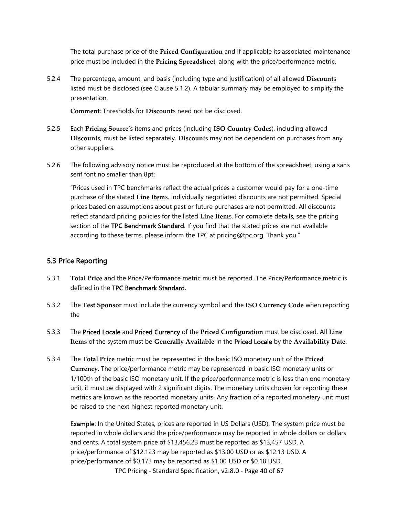The total purchase price of the **Priced Configuration** and if applicable its associated maintenance price must be included in the **Pricing Spreadsheet**, along with the price/performance metric.

5.2.4 The percentage, amount, and basis (including type and justification) of all allowed **Discount**s listed must be disclosed (see Clause [5.1.2\)](#page-37-3). A tabular summary may be employed to simplify the presentation.

**Comment**: Thresholds for **Discount**s need not be disclosed.

- 5.2.5 Each **Pricing Source**'s items and prices (including **ISO Country Code**s), including allowed **Discount**s, must be listed separately. **Discount**s may not be dependent on purchases from any other suppliers.
- 5.2.6 The following advisory notice must be reproduced at the bottom of the spreadsheet, using a sans serif font no smaller than 8pt:

"Prices used in TPC benchmarks reflect the actual prices a customer would pay for a one-time purchase of the stated **Line Item**s. Individually negotiated discounts are not permitted. Special prices based on assumptions about past or future purchases are not permitted. All discounts reflect standard pricing policies for the listed **Line Item**s. For complete details, see the pricing section of the TPC Benchmark Standard. If you find that the stated prices are not available according to these terms, please inform the TPC at pricing@tpc.org. Thank you."

## <span id="page-39-0"></span>5.3 Price Reporting

- 5.3.1 **Total Price** and the Price/Performance metric must be reported. The Price/Performance metric is defined in the TPC Benchmark Standard.
- 5.3.2 The **Test Sponsor** must include the currency symbol and the **ISO Currency Code** when reporting the
- 5.3.3 The Priced Locale and Priced Currency of the **Priced Configuration** must be disclosed. All **Line Item**s of the system must be **Generally Available** in the Priced Locale by the **Availability Date**.
- 5.3.4 The **Total Price** metric must be represented in the basic ISO monetary unit of the **Priced Currency**. The price/performance metric may be represented in basic ISO monetary units or 1/100th of the basic ISO monetary unit. If the price/performance metric is less than one monetary unit, it must be displayed with 2 significant digits. The monetary units chosen for reporting these metrics are known as the reported monetary units. Any fraction of a reported monetary unit must be raised to the next highest reported monetary unit.

TPC Pricing - Standard Specification, v2.8.0 - Page 40 of 67 Example: In the United States, prices are reported in US Dollars (USD). The system price must be reported in whole dollars and the price/performance may be reported in whole dollars or dollars and cents. A total system price of \$13,456.23 must be reported as \$13,457 USD. A price/performance of \$12.123 may be reported as \$13.00 USD or as \$12.13 USD. A price/performance of \$0.173 may be reported as \$1.00 USD or \$0.18 USD.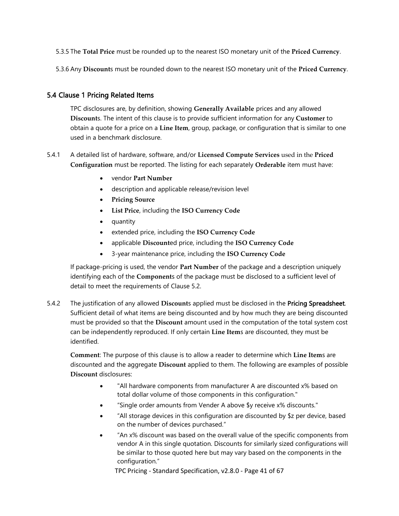- 5.3.5 The **Total Price** must be rounded up to the nearest ISO monetary unit of the **Priced Currency**.
- 5.3.6 Any **Discount**s must be rounded down to the nearest ISO monetary unit of the **Priced Currency**.

## <span id="page-40-0"></span>5.4 Clause 1 Pricing Related Items

TPC disclosures are, by definition, showing **Generally Available** prices and any allowed **Discount**s. The intent of this clause is to provide sufficient information for any **Customer** to obtain a quote for a price on a **Line Item**, group, package, or configuration that is similar to one used in a benchmark disclosure.

- 5.4.1 A detailed list of hardware, software, and/or **Licensed Compute Services** used in the **Priced Configuration** must be reported. The listing for each separately **Orderable** item must have:
	- vendor **Part Number**
	- description and applicable release/revision level
	- **Pricing Source**
	- **List Price**, including the **ISO Currency Code**
	- quantity
	- extended price, including the **ISO Currency Code**
	- applicable **Discount**ed price, including the **ISO Currency Code**
	- 3-year maintenance price, including the **ISO Currency Code**

If package-pricing is used, the vendor **Part Number** of the package and a description uniquely identifying each of the **Component**s of the package must be disclosed to a sufficient level of detail to meet the requirements of Clause [5.2.](#page-37-2)

5.4.2 The justification of any allowed **Discount**s applied must be disclosed in the Pricing Spreadsheet. Sufficient detail of what items are being discounted and by how much they are being discounted must be provided so that the **Discount** amount used in the computation of the total system cost can be independently reproduced. If only certain **Line Item**s are discounted, they must be identified.

<span id="page-40-1"></span>**Comment**: The purpose of this clause is to allow a reader to determine which **Line Item**s are discounted and the aggregate **Discount** applied to them. The following are examples of possible **Discount** disclosures:

- "All hardware components from manufacturer A are discounted x% based on total dollar volume of those components in this configuration."
- "Single order amounts from Vender A above \$y receive x% discounts."
- "All storage devices in this configuration are discounted by \$z per device, based on the number of devices purchased."
- "An x% discount was based on the overall value of the specific components from vendor A in this single quotation. Discounts for similarly sized configurations will be similar to those quoted here but may vary based on the components in the configuration."

TPC Pricing - Standard Specification, v2.8.0 - Page 41 of 67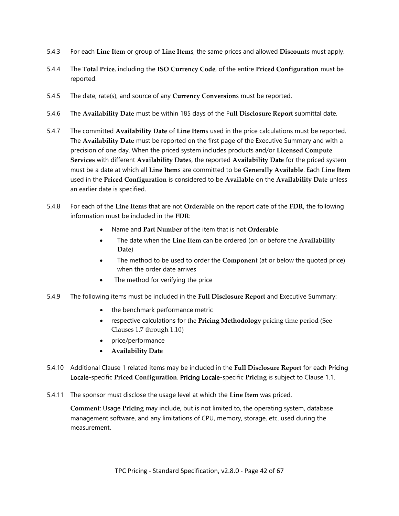- 5.4.3 For each **Line Item** or group of **Line Item**s, the same prices and allowed **Discount**s must apply.
- 5.4.4 The **Total Price**, including the **ISO Currency Code**, of the entire **Priced Configuration** must be reported.
- 5.4.5 The date, rate(s), and source of any **Currency Conversion**s must be reported.
- 5.4.6 The **Availability Date** must be within 185 days of the F**ull Disclosure Report** submittal date.
- 5.4.7 The committed **Availability Date** of **Line Item**s used in the price calculations must be reported. The **Availability Date** must be reported on the first page of the Executive Summary and with a precision of one day. When the priced system includes products and/or **Licensed Compute Services** with different **Availability Date**s, the reported **Availability Date** for the priced system must be a date at which all **Line Item**s are committed to be **Generally Available**. Each **Line Item** used in the **Priced Configuration** is considered to be **Available** on the **Availability Date** unless an earlier date is specified.
- 5.4.8 For each of the **Line Item**s that are not **Orderable** on the report date of the **FDR**, the following information must be included in the **FDR**:
	- Name and **Part Number** of the item that is not **Orderable**
	- The date when the **Line Item** can be ordered (on or before the **Availability Date**)
	- The method to be used to order the **Component** (at or below the quoted price) when the order date arrives
	- The method for verifying the price
- 5.4.9 The following items must be included in the **Full Disclosure Report** and Executive Summary:
	- the benchmark performance metric
	- respective calculations for the **Pricing Methodology** pricing time period (See Clauses 1.7 through 1.10)
	- price/performance
	- **Availability Date**
- 5.4.10 Additional Clause 1 related items may be included in the **Full Disclosure Report** for each Pricing Locale-specific **Priced Configuration**. Pricing Locale-specific **Pricing** is subject to Clause [1.1.](#page-21-1)
- 5.4.11 The sponsor must disclose the usage level at which the **Line Item** was priced.

**Comment**: Usage **Pricing** may include, but is not limited to, the operating system, database management software, and any limitations of CPU, memory, storage, etc. used during the measurement.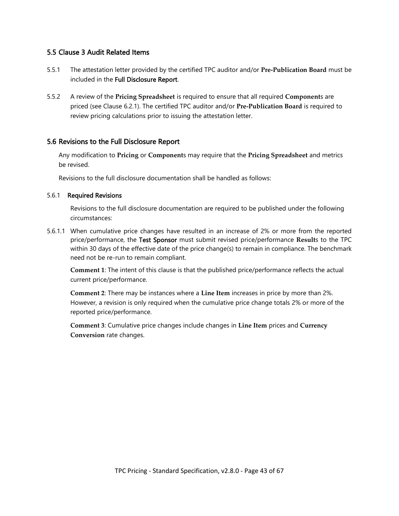## <span id="page-42-0"></span>5.5 Clause 3 Audit Related Items

- 5.5.1 The attestation letter provided by the certified TPC auditor and/or **Pre-Publication Board** must be included in the Full Disclosure Report.
- 5.5.2 A review of the **Pricing Spreadsheet** is required to ensure that all required **Component**s are priced (see Clause [6.2.1\)](#page-53-3). The certified TPC auditor and/or **Pre-Publication Board** is required to review pricing calculations prior to issuing the attestation letter.

## <span id="page-42-1"></span>5.6 Revisions to the Full Disclosure Report

Any modification to **Pricing** or **Component**s may require that the **Pricing Spreadsheet** and metrics be revised.

Revisions to the full disclosure documentation shall be handled as follows:

### 5.6.1 Required Revisions

Revisions to the full disclosure documentation are required to be published under the following circumstances:

5.6.1.1 When cumulative price changes have resulted in an increase of 2% or more from the reported price/performance, the Test Sponsor must submit revised price/performance **Result**s to the TPC within 30 days of the effective date of the price change(s) to remain in compliance. The benchmark need not be re-run to remain compliant.

**Comment 1**: The intent of this clause is that the published price/performance reflects the actual current price/performance.

**Comment 2**: There may be instances where a **Line Item** increases in price by more than 2%. However, a revision is only required when the cumulative price change totals 2% or more of the reported price/performance.

**Comment 3**: Cumulative price changes include changes in **Line Item** prices and **Currency Conversion** rate changes.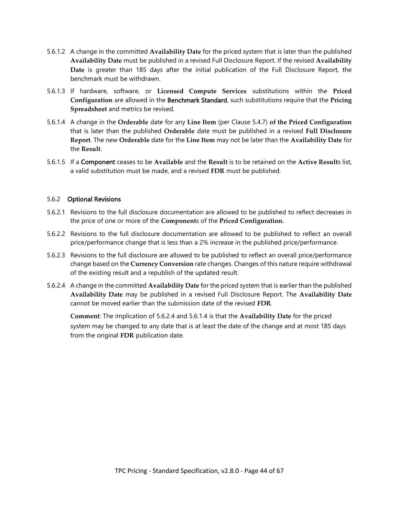- 5.6.1.2 A change in the committed **Availability Date** for the priced system that is later than the published **Availability Date** must be published in a revised Full Disclosure Report. If the revised **Availability Date** is greater than 185 days after the initial publication of the Full Disclosure Report, the benchmark must be withdrawn.
- 5.6.1.3 If hardware, software, or **Licensed Compute Services** substitutions within the **Priced Configuration** are allowed in the Benchmark Standard, such substitutions require that the **Pricing Spreadsheet** and metrics be revised.
- <span id="page-43-1"></span>5.6.1.4 A change in the **Orderable** date for any **Line Item** (per Clause 5.4.7) **of the Priced Configuration** that is later than the published **Orderable** date must be published in a revised **Full Disclosure Report**. The new **Orderable** date for the **Line Item** may not be later than the **Availability Date** for the **Result**.
- 5.6.1.5 If a Component ceases to be **Available** and the **Result** is to be retained on the **Active Result**s list, a valid substitution must be made, and a revised **FDR** must be published.

#### 5.6.2 Optional Revisions

- 5.6.2.1 Revisions to the full disclosure documentation are allowed to be published to reflect decreases in the price of one or more of the **Component**s of the **Priced Configuration.**
- 5.6.2.2 Revisions to the full disclosure documentation are allowed to be published to reflect an overall price/performance change that is less than a 2% increase in the published price/performance.
- 5.6.2.3 Revisions to the full disclosure are allowed to be published to reflect an overall price/performance change based on the **Currency Conversion** rate changes. Changes of this nature require withdrawal of the existing result and a republish of the updated result.
- 5.6.2.4 A change in the committed **Availability Date** for the priced system that is earlier than the published **Availability Date** may be published in a revised Full Disclosure Report. The **Availability Date** cannot be moved earlier than the submission date of the revised **FDR**.

<span id="page-43-0"></span>**Comment**: The implication of [5.6.2.4](#page-43-0) and [5.6.1.4](#page-43-1) is that the **Availability Date** for the priced system may be changed to any date that is at least the date of the change and at most 185 days from the original **FDR** publication date.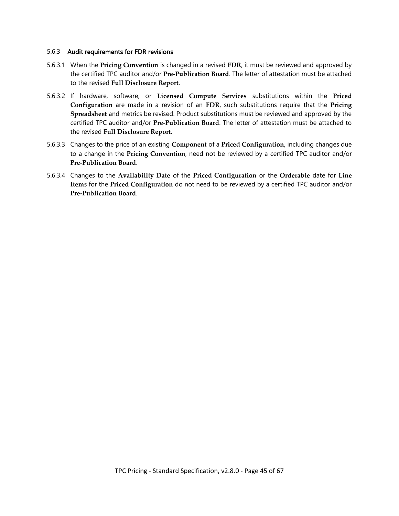#### 5.6.3 Audit requirements for FDR revisions

- 5.6.3.1 When the **Pricing Convention** is changed in a revised **FDR**, it must be reviewed and approved by the certified TPC auditor and/or **Pre-Publication Board**. The letter of attestation must be attached to the revised **Full Disclosure Report**.
- 5.6.3.2 If hardware, software, or **Licensed Compute Services** substitutions within the **Priced Configuration** are made in a revision of an **FDR**, such substitutions require that the **Pricing Spreadsheet** and metrics be revised. Product substitutions must be reviewed and approved by the certified TPC auditor and/or **Pre-Publication Board**. The letter of attestation must be attached to the revised **Full Disclosure Report**.
- 5.6.3.3 Changes to the price of an existing **Component** of a **Priced Configuration**, including changes due to a change in the **Pricing Convention**, need not be reviewed by a certified TPC auditor and/or **Pre-Publication Board**.
- 5.6.3.4 Changes to the **Availability Date** of the **Priced Configuration** or the **Orderable** date for **Line Item**s for the **Priced Configuration** do not need to be reviewed by a certified TPC auditor and/or **Pre-Publication Board**.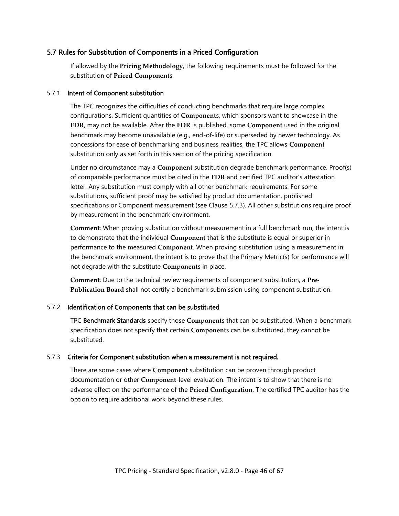## <span id="page-45-0"></span>5.7 Rules for Substitution of Components in a Priced Configuration

If allowed by the **Pricing Methodology**, the following requirements must be followed for the substitution of **Priced Component**s.

### 5.7.1 Intent of Component substitution

The TPC recognizes the difficulties of conducting benchmarks that require large complex configurations. Sufficient quantities of **Component**s, which sponsors want to showcase in the **FDR**, may not be available. After the **FDR** is published, some **Component** used in the original benchmark may become unavailable (e.g., end-of-life) or superseded by newer technology. As concessions for ease of benchmarking and business realities, the TPC allows **Component** substitution only as set forth in this section of the pricing specification.

Under no circumstance may a **Component** substitution degrade benchmark performance. Proof(s) of comparable performance must be cited in the **FDR** and certified TPC auditor's attestation letter. Any substitution must comply with all other benchmark requirements. For some substitutions, sufficient proof may be satisfied by product documentation, published specifications or Component measurement (see Clause [5.7.3\)](#page-45-1). All other substitutions require proof by measurement in the benchmark environment.

**Comment**: When proving substitution without measurement in a full benchmark run, the intent is to demonstrate that the individual **Component** that is the substitute is equal or superior in performance to the measured **Component**. When proving substitution using a measurement in the benchmark environment, the intent is to prove that the Primary Metric(s) for performance will not degrade with the substitute **Component**s in place.

**Comment**: Due to the technical review requirements of component substitution, a **Pre-Publication Board** shall not certify a benchmark submission using component substitution.

#### 5.7.2 Identification of Components that can be substituted

TPC Benchmark Standards specify those **Component**s that can be substituted. When a benchmark specification does not specify that certain **Component**s can be substituted, they cannot be substituted.

#### <span id="page-45-1"></span>5.7.3 Criteria for Component substitution when a measurement is not required.

There are some cases where **Component** substitution can be proven through product documentation or other **Component**-level evaluation. The intent is to show that there is no adverse effect on the performance of the **Priced Configuration**. The certified TPC auditor has the option to require additional work beyond these rules.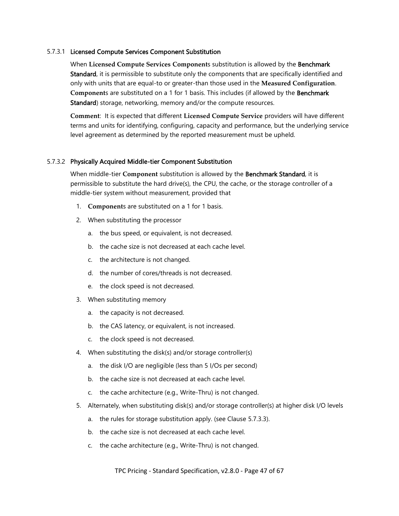#### 5.7.3.1 Licensed Compute Services Component Substitution

When **Licensed Compute Services Component**s substitution is allowed by the Benchmark Standard, it is permissible to substitute only the components that are specifically identified and only with units that are equal-to or greater-than those used in the **Measured Configuration**. **Component**s are substituted on a 1 for 1 basis. This includes (if allowed by the Benchmark Standard) storage, networking, memory and/or the compute resources.

**Comment**: It is expected that different **Licensed Compute Service** providers will have different terms and units for identifying, configuring, capacity and performance, but the underlying service level agreement as determined by the reported measurement must be upheld.

#### 5.7.3.2 Physically Acquired Middle-tier Component Substitution

When middle-tier **Component** substitution is allowed by the Benchmark Standard, it is permissible to substitute the hard drive(s), the CPU, the cache, or the storage controller of a middle-tier system without measurement, provided that

- 1. **Component**s are substituted on a 1 for 1 basis.
- 2. When substituting the processor
	- a. the bus speed, or equivalent, is not decreased.
	- b. the cache size is not decreased at each cache level.
	- c. the architecture is not changed.
	- d. the number of cores/threads is not decreased.
	- e. the clock speed is not decreased.
- 3. When substituting memory
	- a. the capacity is not decreased.
	- b. the CAS latency, or equivalent, is not increased.
	- c. the clock speed is not decreased.
- 4. When substituting the disk(s) and/or storage controller(s)
	- a. the disk I/O are negligible (less than 5 I/Os per second)
	- b. the cache size is not decreased at each cache level.
	- c. the cache architecture (e.g., Write-Thru) is not changed.
- 5. Alternately, when substituting disk(s) and/or storage controller(s) at higher disk I/O levels
	- a. the rules for storage substitution apply. (see Clause [5.7.3.3\)](#page-47-0).
	- b. the cache size is not decreased at each cache level.
	- c. the cache architecture (e.g., Write-Thru) is not changed.

TPC Pricing - Standard Specification, v2.8.0 - Page 47 of 67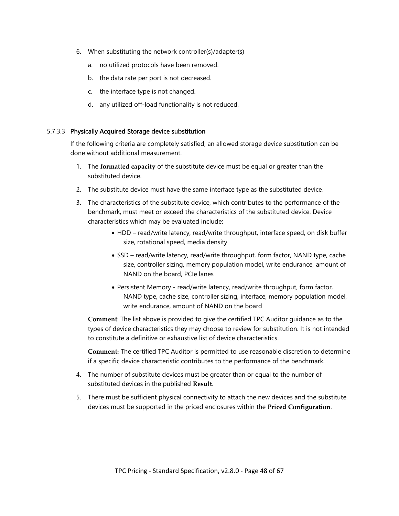- 6. When substituting the network controller(s)/adapter(s)
	- a. no utilized protocols have been removed.
	- b. the data rate per port is not decreased.
	- c. the interface type is not changed.
	- d. any utilized off-load functionality is not reduced.

### <span id="page-47-0"></span>5.7.3.3 Physically Acquired Storage device substitution

If the following criteria are completely satisfied, an allowed storage device substitution can be done without additional measurement.

- 1. The **formatted capacity** of the substitute device must be equal or greater than the substituted device.
- 2. The substitute device must have the same interface type as the substituted device.
- 3. The characteristics of the substitute device, which contributes to the performance of the benchmark, must meet or exceed the characteristics of the substituted device. Device characteristics which may be evaluated include:
	- HDD read/write latency, read/write throughput, interface speed, on disk buffer size, rotational speed, media density
	- SSD read/write latency, read/write throughput, form factor, NAND type, cache size, controller sizing, memory population model, write endurance, amount of NAND on the board, PCIe lanes
	- Persistent Memory read/write latency, read/write throughput, form factor, NAND type, cache size, controller sizing, interface, memory population model, write endurance, amount of NAND on the board

**Comment**: The list above is provided to give the certified TPC Auditor guidance as to the types of device characteristics they may choose to review for substitution. It is not intended to constitute a definitive or exhaustive list of device characteristics.

**Comment:** The certified TPC Auditor is permitted to use reasonable discretion to determine if a specific device characteristic contributes to the performance of the benchmark.

- 4. The number of substitute devices must be greater than or equal to the number of substituted devices in the published **Result**.
- 5. There must be sufficient physical connectivity to attach the new devices and the substitute devices must be supported in the priced enclosures within the **Priced Configuration**.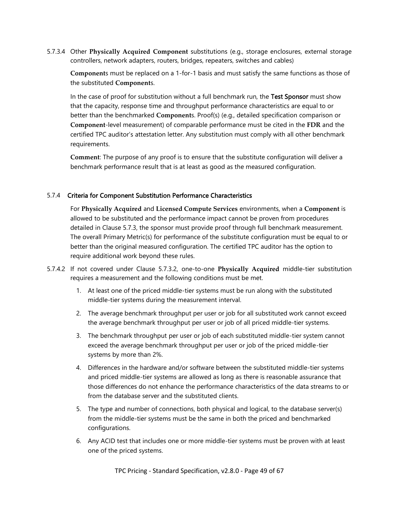<span id="page-48-0"></span>5.7.3.4 Other **Physically Acquired Component** substitutions (e.g., storage enclosures, external storage controllers, network adapters, routers, bridges, repeaters, switches and cables)

**Component**s must be replaced on a 1-for-1 basis and must satisfy the same functions as those of the substituted **Component**s.

In the case of proof for substitution without a full benchmark run, the Test Sponsor must show that the capacity, response time and throughput performance characteristics are equal to or better than the benchmarked **Component**s. Proof(s) (e.g., detailed specification comparison or **Component**-level measurement) of comparable performance must be cited in the **FDR** and the certified TPC auditor's attestation letter. Any substitution must comply with all other benchmark requirements.

**Comment**: The purpose of any proof is to ensure that the substitute configuration will deliver a benchmark performance result that is at least as good as the measured configuration.

#### 5.7.4 Criteria for Component Substitution Performance Characteristics

For **Physically Acquired** and **Licensed Compute Services** environments, when a **Component** is allowed to be substituted and the performance impact cannot be proven from procedures detailed in Clause [5.7.3,](#page-45-1) the sponsor must provide proof through full benchmark measurement. The overall Primary Metric(s) for performance of the substitute configuration must be equal to or better than the original measured configuration. The certified TPC auditor has the option to require additional work beyond these rules.

- 5.7.4.2 If not covered under Clause 5.7.3.2, one-to-one **Physically Acquired** middle-tier substitution requires a measurement and the following conditions must be met.
	- 1. At least one of the priced middle-tier systems must be run along with the substituted middle-tier systems during the measurement interval.
	- 2. The average benchmark throughput per user or job for all substituted work cannot exceed the average benchmark throughput per user or job of all priced middle-tier systems.
	- 3. The benchmark throughput per user or job of each substituted middle-tier system cannot exceed the average benchmark throughput per user or job of the priced middle-tier systems by more than 2%.
	- 4. Differences in the hardware and/or software between the substituted middle-tier systems and priced middle-tier systems are allowed as long as there is reasonable assurance that those differences do not enhance the performance characteristics of the data streams to or from the database server and the substituted clients.
	- 5. The type and number of connections, both physical and logical, to the database server(s) from the middle-tier systems must be the same in both the priced and benchmarked configurations.
	- 6. Any ACID test that includes one or more middle-tier systems must be proven with at least one of the priced systems.

TPC Pricing - Standard Specification, v2.8.0 - Page 49 of 67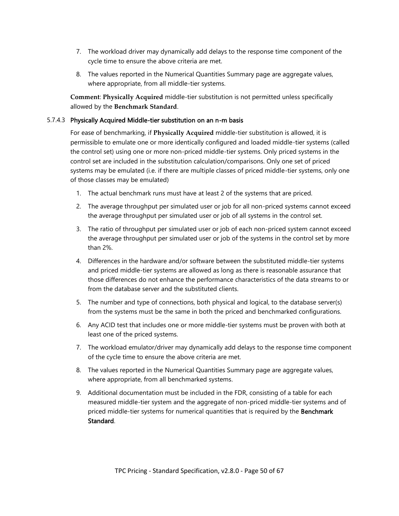- 7. The workload driver may dynamically add delays to the response time component of the cycle time to ensure the above criteria are met.
- 8. The values reported in the Numerical Quantities Summary page are aggregate values, where appropriate, from all middle-tier systems.

**Comment**: **Physically Acquired** middle-tier substitution is not permitted unless specifically allowed by the **Benchmark Standard**.

#### 5.7.4.3 Physically Acquired Middle-tier substitution on an n-m basis

For ease of benchmarking, if **Physically Acquired** middle-tier substitution is allowed, it is permissible to emulate one or more identically configured and loaded middle-tier systems (called the control set) using one or more non-priced middle-tier systems. Only priced systems in the control set are included in the substitution calculation/comparisons. Only one set of priced systems may be emulated (i.e. if there are multiple classes of priced middle-tier systems, only one of those classes may be emulated)

- 1. The actual benchmark runs must have at least 2 of the systems that are priced.
- 2. The average throughput per simulated user or job for all non-priced systems cannot exceed the average throughput per simulated user or job of all systems in the control set.
- 3. The ratio of throughput per simulated user or job of each non-priced system cannot exceed the average throughput per simulated user or job of the systems in the control set by more than 2%.
- 4. Differences in the hardware and/or software between the substituted middle-tier systems and priced middle-tier systems are allowed as long as there is reasonable assurance that those differences do not enhance the performance characteristics of the data streams to or from the database server and the substituted clients.
- 5. The number and type of connections, both physical and logical, to the database server(s) from the systems must be the same in both the priced and benchmarked configurations.
- 6. Any ACID test that includes one or more middle-tier systems must be proven with both at least one of the priced systems.
- 7. The workload emulator/driver may dynamically add delays to the response time component of the cycle time to ensure the above criteria are met.
- 8. The values reported in the Numerical Quantities Summary page are aggregate values, where appropriate, from all benchmarked systems.
- 9. Additional documentation must be included in the FDR, consisting of a table for each measured middle-tier system and the aggregate of non-priced middle-tier systems and of priced middle-tier systems for numerical quantities that is required by the Benchmark Standard.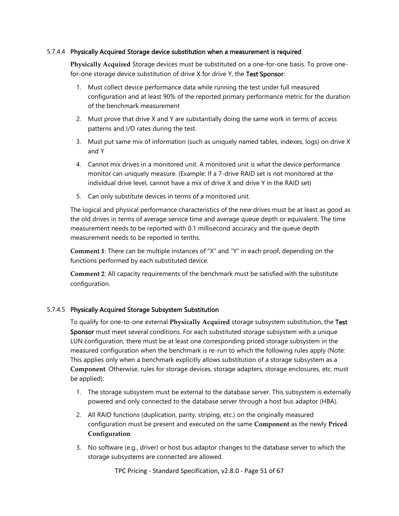#### 5.7.4.4 Physically Acquired Storage device substitution when a measurement is required

**Physically Acquired** Storage devices must be substituted on a one-for-one basis. To prove onefor-one storage device substitution of drive X for drive Y, the Test Sponsor:

- 1. Must collect device performance data while running the test under full measured configuration and at least 90% of the reported primary performance metric for the duration of the benchmark measurement
- 2. Must prove that drive X and Y are substantially doing the same work in terms of access patterns and I/O rates during the test.
- 3. Must put same mix of information (such as uniquely named tables, indexes, logs) on drive X and Y
- 4. Cannot mix drives in a monitored unit. A monitored unit is what the device performance monitor can uniquely measure. (Example: If a 7-drive RAID set is not monitored at the individual drive level, cannot have a mix of drive X and drive Y in the RAID set)
- 5. Can only substitute devices in terms of a monitored unit.

The logical and physical performance characteristics of the new drives must be at least as good as the old drives in terms of average service time and average queue depth or equivalent. The time measurement needs to be reported with 0.1 millisecond accuracy and the queue depth measurement needs to be reported in tenths.

**Comment 1**: There can be multiple instances of "X" and "Y" in each proof, depending on the functions performed by each substituted device.

**Comment 2**: All capacity requirements of the benchmark must be satisfied with the substitute configuration.

#### 5.7.4.5 Physically Acquired Storage Subsystem Substitution

To qualify for one-to-one external **Physically Acquired** storage subsystem substitution, the Test Sponsor must meet several conditions. For each substituted storage subsystem with a unique LUN configuration, there must be at least one corresponding priced storage subsystem in the measured configuration when the benchmark is re-run to which the following rules apply (Note: This applies only when a benchmark explicitly allows substitution of a storage subsystem as a **Component**. Otherwise, rules for storage devices, storage adapters, storage enclosures, etc. must be applied):

- 1. The storage subsystem must be external to the database server. This subsystem is externally powered and only connected to the database server through a host bus adaptor (HBA).
- 2. All RAID functions (duplication, parity, striping, etc.) on the originally measured configuration must be present and executed on the same **Component** as the newly **Priced Configuration**.
- 3. No software (e.g., driver) or host bus adaptor changes to the database server to which the storage subsystems are connected are allowed.

TPC Pricing - Standard Specification, v2.8.0 - Page 51 of 67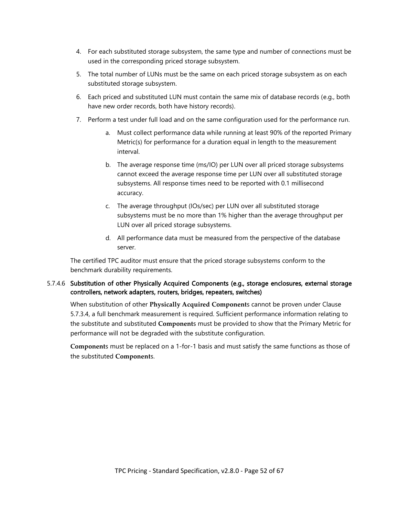- 4. For each substituted storage subsystem, the same type and number of connections must be used in the corresponding priced storage subsystem.
- 5. The total number of LUNs must be the same on each priced storage subsystem as on each substituted storage subsystem.
- 6. Each priced and substituted LUN must contain the same mix of database records (e.g., both have new order records, both have history records).
- 7. Perform a test under full load and on the same configuration used for the performance run.
	- a. Must collect performance data while running at least 90% of the reported Primary Metric(s) for performance for a duration equal in length to the measurement interval.
	- b. The average response time (ms/IO) per LUN over all priced storage subsystems cannot exceed the average response time per LUN over all substituted storage subsystems. All response times need to be reported with 0.1 millisecond accuracy.
	- c. The average throughput (IOs/sec) per LUN over all substituted storage subsystems must be no more than 1% higher than the average throughput per LUN over all priced storage subsystems.
	- d. All performance data must be measured from the perspective of the database server.

The certified TPC auditor must ensure that the priced storage subsystems conform to the benchmark durability requirements.

## 5.7.4.6 Substitution of other Physically Acquired Components (e.g., storage enclosures, external storage controllers, network adapters, routers, bridges, repeaters, switches)

When substitution of other **Physically Acquired Component**s cannot be proven under Clause [5.7.3.4,](#page-48-0) a full benchmark measurement is required. Sufficient performance information relating to the substitute and substituted **Component**s must be provided to show that the Primary Metric for performance will not be degraded with the substitute configuration.

**Component**s must be replaced on a 1-for-1 basis and must satisfy the same functions as those of the substituted **Component**s.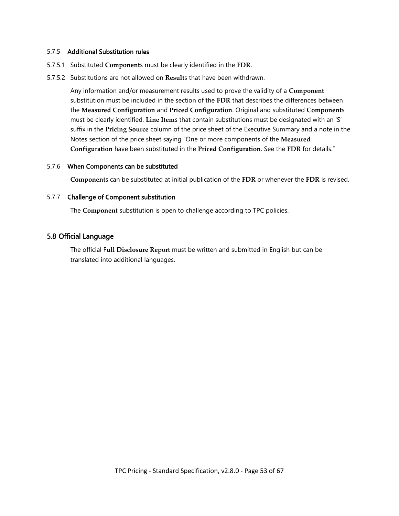#### 5.7.5 Additional Substitution rules

- 5.7.5.1 Substituted **Component**s must be clearly identified in the **FDR**.
- 5.7.5.2 Substitutions are not allowed on **Result**s that have been withdrawn.

Any information and/or measurement results used to prove the validity of a **Component** substitution must be included in the section of the **FDR** that describes the differences between the **Measured Configuration** and **Priced Configuration**. Original and substituted **Component**s must be clearly identified. **Line Item**s that contain substitutions must be designated with an 'S' suffix in the **Pricing Source** column of the price sheet of the Executive Summary and a note in the Notes section of the price sheet saying "One or more components of the **Measured Configuration** have been substituted in the **Priced Configuration**. See the **FDR** for details."

#### 5.7.6 When Components can be substituted

**Component**s can be substituted at initial publication of the **FDR** or whenever the **FDR** is revised.

#### 5.7.7 Challenge of Component substitution

The **Component** substitution is open to challenge according to TPC policies.

### <span id="page-52-0"></span>5.8 Official Language

The official F**ull Disclosure Report** must be written and submitted in English but can be translated into additional languages.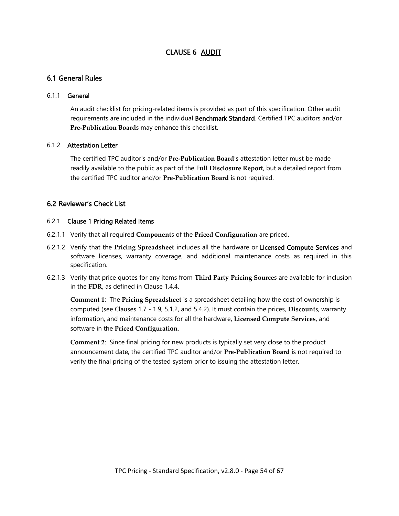## CLAUSE 6 AUDIT

## <span id="page-53-1"></span><span id="page-53-0"></span>6.1 General Rules

#### 6.1.1 General

An audit checklist for pricing-related items is provided as part of this specification. Other audit requirements are included in the individual Benchmark Standard. Certified TPC auditors and/or **Pre-Publication Board**s may enhance this checklist.

### 6.1.2 Attestation Letter

The certified TPC auditor's and/or **Pre-Publication Board**'s attestation letter must be made readily available to the public as part of the F**ull Disclosure Report**, but a detailed report from the certified TPC auditor and/or **Pre-Publication Board** is not required.

## <span id="page-53-2"></span>6.2 Reviewer's Check List

### <span id="page-53-3"></span>6.2.1 Clause 1 Pricing Related Items

- 6.2.1.1 Verify that all required **Component**s of the **Priced Configuration** are priced.
- 6.2.1.2 Verify that the **Pricing Spreadsheet** includes all the hardware or Licensed Compute Services and software licenses, warranty coverage, and additional maintenance costs as required in this specification.
- 6.2.1.3 Verify that price quotes for any items from **Third Party Pricing Source**s are available for inclusion in the **FDR**, as defined in Clause [1.4.4.](#page-24-1)

**Comment 1**: The **Pricing Spreadsheet** is a spreadsheet detailing how the cost of ownership is computed (see Clauses [1.7](#page-25-1) - [1.9,](#page-26-1) [5.1.2,](#page-37-3) and [5.4.2\)](#page-40-1). It must contain the prices, **Discount**s, warranty information, and maintenance costs for all the hardware, **Licensed Compute Services**, and software in the **Priced Configuration**.

**Comment 2**: Since final pricing for new products is typically set very close to the product announcement date, the certified TPC auditor and/or **Pre-Publication Board** is not required to verify the final pricing of the tested system prior to issuing the attestation letter.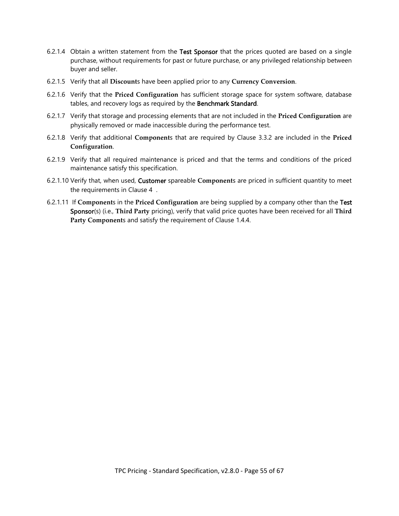- 6.2.1.4 Obtain a written statement from the Test Sponsor that the prices quoted are based on a single purchase, without requirements for past or future purchase, or any privileged relationship between buyer and seller.
- 6.2.1.5 Verify that all **Discount**s have been applied prior to any **Currency Conversion**.
- 6.2.1.6 Verify that the **Priced Configuration** has sufficient storage space for system software, database tables, and recovery logs as required by the Benchmark Standard.
- 6.2.1.7 Verify that storage and processing elements that are not included in the **Priced Configuration** are physically removed or made inaccessible during the performance test.
- 6.2.1.8 Verify that additional **Component**s that are required by Clause [3.3.2](#page-31-1) are included in the **Priced Configuration**.
- 6.2.1.9 Verify that all required maintenance is priced and that the terms and conditions of the priced maintenance satisfy this specification.
- 6.2.1.10 Verify that, when used, Customer spareable **Component**s are priced in sufficient quantity to meet the requirements in [Clause 4 .](#page-32-0)
- 6.2.1.11 If **Component**s in the **Priced Configuration** are being supplied by a company other than the Test Sponsor(s) (i.e., **Third Party** pricing), verify that valid price quotes have been received for all **Third Party Component**s and satisfy the requirement of Clause [1.4.4.](#page-24-1)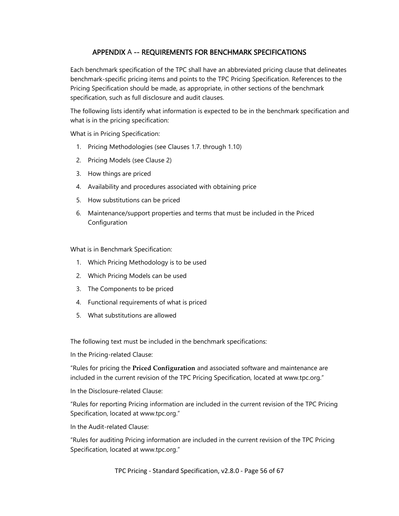## APPENDIX A -- REQUIREMENTS FOR BENCHMARK SPECIFICATIONS

<span id="page-55-0"></span>Each benchmark specification of the TPC shall have an abbreviated pricing clause that delineates benchmark-specific pricing items and points to the TPC Pricing Specification. References to the Pricing Specification should be made, as appropriate, in other sections of the benchmark specification, such as full disclosure and audit clauses.

The following lists identify what information is expected to be in the benchmark specification and what is in the pricing specification:

What is in Pricing Specification:

- 1. Pricing Methodologies (see Clauses 1.7. through 1.10)
- 2. Pricing Models (see Clause 2)
- 3. How things are priced
- 4. Availability and procedures associated with obtaining price
- 5. How substitutions can be priced
- 6. Maintenance/support properties and terms that must be included in the Priced Configuration

What is in Benchmark Specification:

- 1. Which Pricing Methodology is to be used
- 2. Which Pricing Models can be used
- 3. The Components to be priced
- 4. Functional requirements of what is priced
- 5. What substitutions are allowed

The following text must be included in the benchmark specifications:

In the Pricing-related Clause:

"Rules for pricing the **Priced Configuration** and associated software and maintenance are included in the current revision of the TPC Pricing Specification, located at www.tpc.org."

In the Disclosure-related Clause:

"Rules for reporting Pricing information are included in the current revision of the TPC Pricing Specification, located at www.tpc.org."

In the Audit-related Clause:

"Rules for auditing Pricing information are included in the current revision of the TPC Pricing Specification, located at www.tpc.org."

TPC Pricing - Standard Specification, v2.8.0 - Page 56 of 67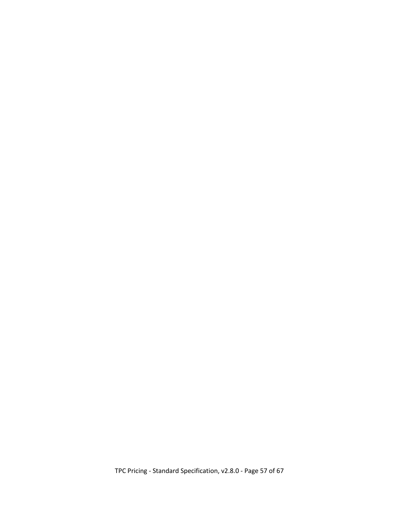TPC Pricing - Standard Specification, v2.8.0 - Page 57 of 67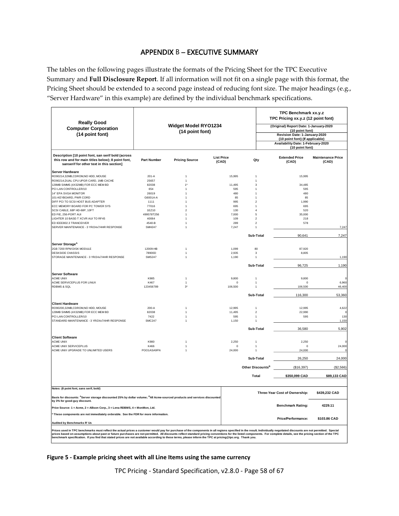### APPENDIX B – EXECUTIVE SUMMARY

<span id="page-57-0"></span>The tables on the following pages illustrate the formats of the Pricing Sheet for the TPC Executive Summary and **Full Disclosure Report**. If all information will not fit on a single page with this format, the Pricing Sheet should be extended to a second page instead of reducing font size. The major headings (e.g., "Server Hardware" in this example) are defined by the individual benchmark specifications.

|                                                                                                                                                                                                                                                                                                                                                                                                                                                                                                                                                                                                           |                    |                                  |                            |                                  | TPC Benchmark xx.y.z<br>TPC Pricing xx.y.z (12 point font) |                                   |  |  |
|-----------------------------------------------------------------------------------------------------------------------------------------------------------------------------------------------------------------------------------------------------------------------------------------------------------------------------------------------------------------------------------------------------------------------------------------------------------------------------------------------------------------------------------------------------------------------------------------------------------|--------------------|----------------------------------|----------------------------|----------------------------------|------------------------------------------------------------|-----------------------------------|--|--|
| <b>Really Good</b><br><b>Computer Corporation</b>                                                                                                                                                                                                                                                                                                                                                                                                                                                                                                                                                         |                    | Widget Model RYO1234             |                            |                                  | (Original) Report Date: 1-January-2020                     |                                   |  |  |
| (14 point font)                                                                                                                                                                                                                                                                                                                                                                                                                                                                                                                                                                                           |                    | (14 point font)                  |                            |                                  | (10 point font)<br>Revision Date: 1-January-2020           |                                   |  |  |
|                                                                                                                                                                                                                                                                                                                                                                                                                                                                                                                                                                                                           |                    |                                  |                            |                                  | (10 point font) (If applicable)                            |                                   |  |  |
|                                                                                                                                                                                                                                                                                                                                                                                                                                                                                                                                                                                                           |                    |                                  |                            |                                  | Availability Date: 1-February-2020                         |                                   |  |  |
|                                                                                                                                                                                                                                                                                                                                                                                                                                                                                                                                                                                                           |                    |                                  |                            |                                  | (10 point font)                                            |                                   |  |  |
| Description [10 point font, san serif bold (across<br>this row and for main titles below); 8 point font,<br>sanserif for other text in this section]                                                                                                                                                                                                                                                                                                                                                                                                                                                      | <b>Part Number</b> | <b>Pricing Source</b>            | <b>List Price</b><br>(CAD) | Qty                              | <b>Extended Price</b><br>(CAD)                             | <b>Maintenance Price</b><br>(CAD) |  |  |
| <b>Server Hardware</b>                                                                                                                                                                                                                                                                                                                                                                                                                                                                                                                                                                                    |                    |                                  |                            |                                  |                                                            |                                   |  |  |
| RO90214,32MB,CDROM,NO HDD, MOUSE                                                                                                                                                                                                                                                                                                                                                                                                                                                                                                                                                                          | $201 - A$          | $\overline{1}$                   | 15,995                     | $\mathbf{1}$                     | 15,995                                                     |                                   |  |  |
| RO90214.DUAL CPU UPGR CARD. 1MB CACHE                                                                                                                                                                                                                                                                                                                                                                                                                                                                                                                                                                     | 25657              | $\overline{1}$                   |                            | $\overline{1}$                   |                                                            |                                   |  |  |
| 128MB SIMMS (4X32MB) FOR ECC MEM BD                                                                                                                                                                                                                                                                                                                                                                                                                                                                                                                                                                       | 82038              | $\ddot{\phantom{0}}$             | 11,495                     | 3                                | 34,485                                                     |                                   |  |  |
| PCI LAN CONTROLLER/10                                                                                                                                                                                                                                                                                                                                                                                                                                                                                                                                                                                     | 654                | 1                                | 595                        | $\mathbf{1}$                     | 595                                                        |                                   |  |  |
| 14" EPA SVGA MONITOR                                                                                                                                                                                                                                                                                                                                                                                                                                                                                                                                                                                      | 26019              |                                  | 480                        |                                  | 480                                                        |                                   |  |  |
| 101-KEYBOARD, PWR CORD<br>DIFF PCI TO SCSI HOST BUS ADAPTER                                                                                                                                                                                                                                                                                                                                                                                                                                                                                                                                               | G6001A-A<br>1111   |                                  | 85<br>995                  | $\overline{1}$<br>$\mathfrak{p}$ | 85<br>1.990                                                |                                   |  |  |
| FCC MEMORY BOARD FOR PC TOWER SYS                                                                                                                                                                                                                                                                                                                                                                                                                                                                                                                                                                         | 77016              | 1                                | 695                        | $\overline{1}$                   | 695                                                        |                                   |  |  |
| SCSI CABLE, 68P HD-68P, 10FT                                                                                                                                                                                                                                                                                                                                                                                                                                                                                                                                                                              | 1EZ10              | $\overline{2}$                   | 130                        | $\overline{4}$                   | 520                                                        |                                   |  |  |
| ED FIE, 256-PORT AUI                                                                                                                                                                                                                                                                                                                                                                                                                                                                                                                                                                                      | 499578T256         | 1                                | 7,000                      | 5                                | 35,000                                                     |                                   |  |  |
| LIGHTER 10 BASE-T XCVR AUI TO RF45                                                                                                                                                                                                                                                                                                                                                                                                                                                                                                                                                                        | 40064              | 1                                | 109                        | $\overline{2}$                   | 218                                                        |                                   |  |  |
| ED IEEE802.3 TRANCEIVER                                                                                                                                                                                                                                                                                                                                                                                                                                                                                                                                                                                   | 4540-B             | 1                                | 289                        | $\overline{2}$                   | 578                                                        |                                   |  |  |
| SERVER MAINTENANCE - 3 YR/24x7/4HR RESPONSE                                                                                                                                                                                                                                                                                                                                                                                                                                                                                                                                                               | <b>SMH247</b>      | 1                                | 7.247                      | $\overline{1}$                   |                                                            | 7,247                             |  |  |
|                                                                                                                                                                                                                                                                                                                                                                                                                                                                                                                                                                                                           |                    |                                  |                            |                                  |                                                            |                                   |  |  |
|                                                                                                                                                                                                                                                                                                                                                                                                                                                                                                                                                                                                           |                    |                                  |                            | Sub-Total                        | 90,641                                                     | 7,247                             |  |  |
|                                                                                                                                                                                                                                                                                                                                                                                                                                                                                                                                                                                                           |                    |                                  |                            |                                  |                                                            |                                   |  |  |
| Server Storage <sup>A</sup>                                                                                                                                                                                                                                                                                                                                                                                                                                                                                                                                                                               |                    |                                  |                            |                                  |                                                            |                                   |  |  |
| 2GB 7200 RPM DISK MODULE<br><b>DESKSIDE CHASSIS</b>                                                                                                                                                                                                                                                                                                                                                                                                                                                                                                                                                       | 12009-HB<br>78900D | $\overline{1}$<br>$\overline{1}$ | 1,099<br>2.935             | 80<br>3                          | 87,920<br>8.805                                            |                                   |  |  |
| STORAGE MAINTENANCE - 3 YR/24x7/4HR RESPONSE                                                                                                                                                                                                                                                                                                                                                                                                                                                                                                                                                              | <b>SMS247</b>      |                                  | 1,190                      | $\overline{1}$                   |                                                            | 1,190                             |  |  |
|                                                                                                                                                                                                                                                                                                                                                                                                                                                                                                                                                                                                           |                    |                                  |                            |                                  |                                                            |                                   |  |  |
|                                                                                                                                                                                                                                                                                                                                                                                                                                                                                                                                                                                                           |                    |                                  |                            | Sub-Total                        | 96,725                                                     | 1,190                             |  |  |
|                                                                                                                                                                                                                                                                                                                                                                                                                                                                                                                                                                                                           |                    |                                  |                            |                                  |                                                            |                                   |  |  |
| Server Software<br>ACME UNIX                                                                                                                                                                                                                                                                                                                                                                                                                                                                                                                                                                              | K985               | $\overline{1}$                   | 9,800                      | $\overline{1}$                   | 9.800                                                      |                                   |  |  |
| ACME SERVICEPLUS FOR LINUX                                                                                                                                                                                                                                                                                                                                                                                                                                                                                                                                                                                | K467               | $\overline{1}$                   | $\overline{0}$             | $\overline{1}$                   | $\circ$                                                    | 6,960                             |  |  |
| <b>RDBMS &amp; SQL</b>                                                                                                                                                                                                                                                                                                                                                                                                                                                                                                                                                                                    | 123456789          | $3^*$                            | 106,500                    | $\overline{1}$                   | 106,500                                                    | 46,400                            |  |  |
|                                                                                                                                                                                                                                                                                                                                                                                                                                                                                                                                                                                                           |                    |                                  |                            |                                  |                                                            |                                   |  |  |
|                                                                                                                                                                                                                                                                                                                                                                                                                                                                                                                                                                                                           |                    |                                  |                            | Sub-Total                        | 116,300                                                    | 53,360                            |  |  |
|                                                                                                                                                                                                                                                                                                                                                                                                                                                                                                                                                                                                           |                    |                                  |                            |                                  |                                                            |                                   |  |  |
| <b>Client Hardware</b><br>RO90200,32MB,CDROM,NO HDD, MOUSE                                                                                                                                                                                                                                                                                                                                                                                                                                                                                                                                                | 200-A              |                                  | 12,995                     |                                  | 12,995                                                     | 4,622                             |  |  |
| 128MB SIMMS (4X32MB) FOR ECC MEM BD                                                                                                                                                                                                                                                                                                                                                                                                                                                                                                                                                                       | 82038              | $\mathbf{1}$<br>$\overline{1}$   | 11,495                     | $\mathbf{1}$<br>$\overline{2}$   | 22,990                                                     |                                   |  |  |
| PCI LAN CONTROLLER/10                                                                                                                                                                                                                                                                                                                                                                                                                                                                                                                                                                                     | 7422               | $\overline{1}$                   | 595                        | $\overline{1}$                   | 595                                                        | 130                               |  |  |
| STANDARD MAINTENANCE - 3 YR/24x7/4HR RESPONSE                                                                                                                                                                                                                                                                                                                                                                                                                                                                                                                                                             | <b>SMC247</b>      | 1                                | 1.150                      | $\overline{1}$                   |                                                            | 1,150                             |  |  |
|                                                                                                                                                                                                                                                                                                                                                                                                                                                                                                                                                                                                           |                    |                                  |                            |                                  |                                                            |                                   |  |  |
|                                                                                                                                                                                                                                                                                                                                                                                                                                                                                                                                                                                                           |                    |                                  |                            | Sub-Total                        | 36,580                                                     | 5,902                             |  |  |
| <b>Client Software</b>                                                                                                                                                                                                                                                                                                                                                                                                                                                                                                                                                                                    |                    |                                  |                            |                                  |                                                            |                                   |  |  |
| ACME UNIX                                                                                                                                                                                                                                                                                                                                                                                                                                                                                                                                                                                                 | K980               | $\overline{1}$                   | 2.250                      | $\mathbf{1}$                     | 2.250                                                      |                                   |  |  |
| ACME UNIX SERVICEPLUS                                                                                                                                                                                                                                                                                                                                                                                                                                                                                                                                                                                     | K466               | 1                                | $\overline{0}$             | $\overline{1}$                   | $^{\circ}$                                                 | 24,000                            |  |  |
| ACME UNIX UPGRADE TO UNLIMITED USERS                                                                                                                                                                                                                                                                                                                                                                                                                                                                                                                                                                      | POO1ASA9FN         |                                  | 24,000                     | 1                                | 24,000                                                     |                                   |  |  |
|                                                                                                                                                                                                                                                                                                                                                                                                                                                                                                                                                                                                           |                    |                                  |                            | Sub-Total                        | 26,250                                                     | 24,000                            |  |  |
|                                                                                                                                                                                                                                                                                                                                                                                                                                                                                                                                                                                                           |                    |                                  |                            |                                  |                                                            |                                   |  |  |
|                                                                                                                                                                                                                                                                                                                                                                                                                                                                                                                                                                                                           |                    |                                  |                            | Other Discounts <sup>B</sup>     | (\$16,397)                                                 | (\$2,566)                         |  |  |
|                                                                                                                                                                                                                                                                                                                                                                                                                                                                                                                                                                                                           |                    |                                  |                            | Total                            | \$350,099 CAD                                              | \$89,133 CAD                      |  |  |
| Notes: (8 point font, sans serif, bold)                                                                                                                                                                                                                                                                                                                                                                                                                                                                                                                                                                   |                    |                                  |                            |                                  |                                                            |                                   |  |  |
| Basis for discounts: <sup>A</sup> Server storage discounted 25% by dollar volume; <sup>B</sup> All Acme-sourced products and services discounted                                                                                                                                                                                                                                                                                                                                                                                                                                                          |                    |                                  |                            |                                  | Three-Year Cost of Ownership:                              | \$439,232 CAD                     |  |  |
| by 3% for good-guy discount.<br>Price Source: 1 = Acme, 2 = Allison Corp., 3 = Lena RDBMS, 4 = MonMon, Ltd.                                                                                                                                                                                                                                                                                                                                                                                                                                                                                               |                    |                                  |                            |                                  | <b>Benchmark Rating:</b>                                   | 4229.11                           |  |  |
| These components are not immediately orderable. See the FDR for more information.                                                                                                                                                                                                                                                                                                                                                                                                                                                                                                                         |                    |                                  |                            |                                  |                                                            |                                   |  |  |
| Audited by Benchmarks R' Us                                                                                                                                                                                                                                                                                                                                                                                                                                                                                                                                                                               |                    |                                  |                            |                                  | Price/Performance:                                         | \$103.86 CAD                      |  |  |
|                                                                                                                                                                                                                                                                                                                                                                                                                                                                                                                                                                                                           |                    |                                  |                            |                                  |                                                            |                                   |  |  |
| Prices used in TPC benchmarks must reflect the actual prices a customer would pay for purchase of the components in all regions specified in the result. Individually negotiated discounts are not permitted. Special<br>prices based on assumptions about past or future purchases are not permitted. All discounts reflect standard pricing conventions for the listed components. For complete details, see the pricing section of the TPC<br>benchmark specification. If you find that stated prices are not available according to these terms, please inform the TPC at pricing@tpc.org. Thank you. |                    |                                  |                            |                                  |                                                            |                                   |  |  |

**Figure 5 - Example pricing sheet with all Line Items using the same currency**

TPC Pricing - Standard Specification, v2.8.0 - Page 58 of 67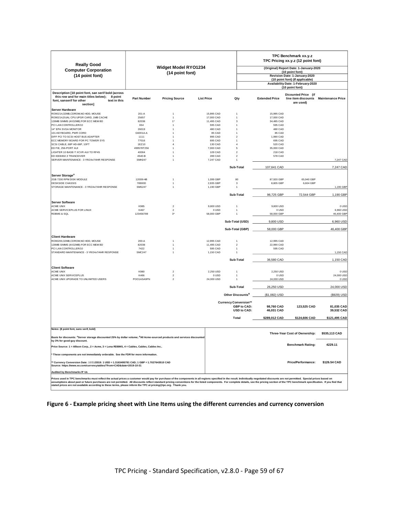|                                                                                                                                                                                                                                                                                                                                                                                                                                                                                                                                                                                   |                                                                |                                  |                          |                                                            |                          | TPC Benchmark xx.y.z                                                                                                                                                                                                                                                                                                                                                                                                                                                                                                                                                   |              |
|-----------------------------------------------------------------------------------------------------------------------------------------------------------------------------------------------------------------------------------------------------------------------------------------------------------------------------------------------------------------------------------------------------------------------------------------------------------------------------------------------------------------------------------------------------------------------------------|----------------------------------------------------------------|----------------------------------|--------------------------|------------------------------------------------------------|--------------------------|------------------------------------------------------------------------------------------------------------------------------------------------------------------------------------------------------------------------------------------------------------------------------------------------------------------------------------------------------------------------------------------------------------------------------------------------------------------------------------------------------------------------------------------------------------------------|--------------|
| <b>Really Good</b><br><b>Computer Corporation</b>                                                                                                                                                                                                                                                                                                                                                                                                                                                                                                                                 | Widget Model RYO1234<br>(Original) Report Date: 1-January-2020 |                                  |                          |                                                            |                          |                                                                                                                                                                                                                                                                                                                                                                                                                                                                                                                                                                        |              |
| (14 point font)                                                                                                                                                                                                                                                                                                                                                                                                                                                                                                                                                                   |                                                                | (14 point font)                  |                          |                                                            |                          |                                                                                                                                                                                                                                                                                                                                                                                                                                                                                                                                                                        |              |
|                                                                                                                                                                                                                                                                                                                                                                                                                                                                                                                                                                                   |                                                                |                                  |                          |                                                            |                          | TPC Pricing xx.y.z (12 point font)<br>(10 point font)<br>Revision Date: 1-January-2020<br>(10 point font) (If applicable)<br>Availability Date: 1-February-2020<br>line item discounts Maintenance Price<br>are used)<br>7,247 CAD<br>7,247 CAD<br>65,940 GBP<br>6,604 GBP<br>1,190 GBP<br>72,544 GBP<br>1,190 GBP<br>0 USD<br>6,960 USD<br>46,400 GBF<br>6,960 USD<br>46,400 GBP<br>1,150 CAD<br>1,150 CAD<br>0 USD<br>24,000 USD<br>0 USD<br>24,000 USD<br>(\$929) USD<br>81,035 CAD<br>123.525 CAD<br>39,532 CAD<br>\$124,606 CAD<br>\$121,495 CAD<br>\$535,113 CAD |              |
|                                                                                                                                                                                                                                                                                                                                                                                                                                                                                                                                                                                   |                                                                |                                  |                          |                                                            |                          | (10 point font)                                                                                                                                                                                                                                                                                                                                                                                                                                                                                                                                                        |              |
| Description [10 point font, san serif bold (across<br>this row and for main titles below); 8 point<br>font, sanserif for other<br>text in this<br>section]                                                                                                                                                                                                                                                                                                                                                                                                                        | <b>Part Number</b>                                             | <b>Pricing Source</b>            | <b>List Price</b>        | Qty                                                        | <b>Extended Price</b>    | Dicounted Price (if                                                                                                                                                                                                                                                                                                                                                                                                                                                                                                                                                    |              |
| <b>Server Hardware</b>                                                                                                                                                                                                                                                                                                                                                                                                                                                                                                                                                            |                                                                |                                  |                          |                                                            |                          |                                                                                                                                                                                                                                                                                                                                                                                                                                                                                                                                                                        |              |
| RO90214,32MB,CDROM,NO HDD, MOUSE<br>RO90214, DUAL CPU UPGR CARD, 1MB CACHE                                                                                                                                                                                                                                                                                                                                                                                                                                                                                                        | $201-A$<br>25657                                               | $\overline{1}$                   | 15,995 CAD<br>17,000 CAD | 1<br>$\overline{1}$                                        | 15,995 CAD<br>17,000 CAD |                                                                                                                                                                                                                                                                                                                                                                                                                                                                                                                                                                        |              |
| 128MB SIMMS (4X32MB) FOR ECC MEM BD                                                                                                                                                                                                                                                                                                                                                                                                                                                                                                                                               | 82038                                                          | $1*$                             | 11,495 CAD               | $\overline{3}$                                             | 34,485 CAD               |                                                                                                                                                                                                                                                                                                                                                                                                                                                                                                                                                                        |              |
| PCI LAN CONTROLLER/10                                                                                                                                                                                                                                                                                                                                                                                                                                                                                                                                                             | 654                                                            |                                  | 595 CAD                  | $\overline{1}$                                             | 595 CAD                  |                                                                                                                                                                                                                                                                                                                                                                                                                                                                                                                                                                        |              |
| 14" EPA SVGA MONITOR<br>101-KEYBOARD, PWR CORD                                                                                                                                                                                                                                                                                                                                                                                                                                                                                                                                    | 26019<br>G6001A-A                                              |                                  | 480 CAD<br>85 CAD        | 1                                                          | 480 CAD<br>85 CAD        |                                                                                                                                                                                                                                                                                                                                                                                                                                                                                                                                                                        |              |
| DIFF PCI TO SCSI HOST BUS ADAPTER                                                                                                                                                                                                                                                                                                                                                                                                                                                                                                                                                 | 1111                                                           |                                  | 995 CAD                  | $\overline{2}$                                             | 1,990 CAD                |                                                                                                                                                                                                                                                                                                                                                                                                                                                                                                                                                                        |              |
| ECC MEMORY BOARD FOR PC TOWER SYS                                                                                                                                                                                                                                                                                                                                                                                                                                                                                                                                                 | 77016                                                          |                                  | 695 CAD                  | 1                                                          | 695 CAD                  |                                                                                                                                                                                                                                                                                                                                                                                                                                                                                                                                                                        |              |
| SCSI CABLE, 68P HD-68P, 10FT<br>ED FIE. 256-PORT AUI                                                                                                                                                                                                                                                                                                                                                                                                                                                                                                                              | 1EZ10<br>499578T256                                            |                                  | 130 CAD<br>7,000 CAD     | $\overline{4}$<br>$\mathbf 5$                              | 520 CAD<br>35,000 CAD    |                                                                                                                                                                                                                                                                                                                                                                                                                                                                                                                                                                        |              |
| LIGHTER 10 BASE-T XCVR AUI TO RF45                                                                                                                                                                                                                                                                                                                                                                                                                                                                                                                                                | 40064                                                          |                                  | 109 CAD                  | $\overline{2}$                                             | 218 CAD                  |                                                                                                                                                                                                                                                                                                                                                                                                                                                                                                                                                                        |              |
| ED IFFF802.3 TRANCEIVER                                                                                                                                                                                                                                                                                                                                                                                                                                                                                                                                                           | 4540-B                                                         |                                  | 289 CAD                  | $\overline{2}$                                             | 578 CAD                  |                                                                                                                                                                                                                                                                                                                                                                                                                                                                                                                                                                        |              |
| SERVER MAINTENANCE - 3 YR/24x7/4HR RESPONSE                                                                                                                                                                                                                                                                                                                                                                                                                                                                                                                                       | <b>SMH247</b>                                                  |                                  | 7,247 CAD                | 1                                                          |                          |                                                                                                                                                                                                                                                                                                                                                                                                                                                                                                                                                                        |              |
|                                                                                                                                                                                                                                                                                                                                                                                                                                                                                                                                                                                   |                                                                |                                  |                          | Sub-Total                                                  | 107,641 CAD              |                                                                                                                                                                                                                                                                                                                                                                                                                                                                                                                                                                        |              |
| Server Storage <sup>A</sup>                                                                                                                                                                                                                                                                                                                                                                                                                                                                                                                                                       |                                                                |                                  |                          |                                                            |                          |                                                                                                                                                                                                                                                                                                                                                                                                                                                                                                                                                                        |              |
| 2GB 7200 RPM DISK MODULE                                                                                                                                                                                                                                                                                                                                                                                                                                                                                                                                                          | 12009-HB                                                       |                                  | 1,099 GBP                | 80                                                         | 87,920 GBP               |                                                                                                                                                                                                                                                                                                                                                                                                                                                                                                                                                                        |              |
| <b>DESKSIDE CHASSIS</b><br>STORAGE MAINTENANCE - 3 YR/24x7/4HR RESPONSE                                                                                                                                                                                                                                                                                                                                                                                                                                                                                                           | 78900D<br><b>SMS247</b>                                        |                                  | 2.935 GBP<br>1.190 GBP   | $\mathbf{3}$<br>1                                          | 8,805 GBP                |                                                                                                                                                                                                                                                                                                                                                                                                                                                                                                                                                                        |              |
|                                                                                                                                                                                                                                                                                                                                                                                                                                                                                                                                                                                   |                                                                |                                  |                          |                                                            |                          |                                                                                                                                                                                                                                                                                                                                                                                                                                                                                                                                                                        |              |
|                                                                                                                                                                                                                                                                                                                                                                                                                                                                                                                                                                                   |                                                                |                                  |                          | Sub-Total                                                  | 96,725 GBP               |                                                                                                                                                                                                                                                                                                                                                                                                                                                                                                                                                                        |              |
| Server Software                                                                                                                                                                                                                                                                                                                                                                                                                                                                                                                                                                   |                                                                |                                  |                          |                                                            |                          |                                                                                                                                                                                                                                                                                                                                                                                                                                                                                                                                                                        |              |
| ACME UNIX<br>ACME SERVICEPLUS FOR LINUX                                                                                                                                                                                                                                                                                                                                                                                                                                                                                                                                           | K985<br>K467                                                   | $\overline{2}$<br>$\overline{2}$ | 9,800 USD<br>0 USD       | $\mathbf{1}$<br>$\mathbf{1}$                               | 9,800 USD<br>0 USD       |                                                                                                                                                                                                                                                                                                                                                                                                                                                                                                                                                                        |              |
| <b>RDBMS &amp; SQL</b>                                                                                                                                                                                                                                                                                                                                                                                                                                                                                                                                                            | 123456789                                                      | $\mathbf{R}^{\prime}$            | 58,000 GBP               | 1                                                          | 58,000 GBP               |                                                                                                                                                                                                                                                                                                                                                                                                                                                                                                                                                                        |              |
|                                                                                                                                                                                                                                                                                                                                                                                                                                                                                                                                                                                   |                                                                |                                  |                          | Sub-Total (USD)                                            | 9,800 USD                |                                                                                                                                                                                                                                                                                                                                                                                                                                                                                                                                                                        |              |
|                                                                                                                                                                                                                                                                                                                                                                                                                                                                                                                                                                                   |                                                                |                                  |                          | Sub-Total (GBP)                                            | 58,000 GBP               |                                                                                                                                                                                                                                                                                                                                                                                                                                                                                                                                                                        |              |
|                                                                                                                                                                                                                                                                                                                                                                                                                                                                                                                                                                                   |                                                                |                                  |                          |                                                            |                          |                                                                                                                                                                                                                                                                                                                                                                                                                                                                                                                                                                        |              |
| <b>Client Hardware</b><br>RO90200 32MB CDROM NO HDD. MOUSE                                                                                                                                                                                                                                                                                                                                                                                                                                                                                                                        | $200 - A$                                                      |                                  | 12.995 CAD               | $\overline{1}$                                             | 12.995 CAD               |                                                                                                                                                                                                                                                                                                                                                                                                                                                                                                                                                                        |              |
| 128MB SIMMS (4X32MB) FOR ECC MEM BD                                                                                                                                                                                                                                                                                                                                                                                                                                                                                                                                               | 82038                                                          |                                  | 11,495 CAD               | $\overline{a}$                                             | 22,990 CAD               |                                                                                                                                                                                                                                                                                                                                                                                                                                                                                                                                                                        |              |
| PCI LAN CONTROLLER/10                                                                                                                                                                                                                                                                                                                                                                                                                                                                                                                                                             | 7422                                                           |                                  | 595 CAD                  | $\mathbf{1}$                                               | 595 CAD                  |                                                                                                                                                                                                                                                                                                                                                                                                                                                                                                                                                                        |              |
| STANDARD MAINTENANCE - 3 YR/24x7/4HR RESPONSE                                                                                                                                                                                                                                                                                                                                                                                                                                                                                                                                     | SMC247                                                         |                                  | 1,150 CAD                | 1                                                          |                          |                                                                                                                                                                                                                                                                                                                                                                                                                                                                                                                                                                        |              |
|                                                                                                                                                                                                                                                                                                                                                                                                                                                                                                                                                                                   |                                                                |                                  |                          | Sub-Total                                                  | 36,580 CAD               |                                                                                                                                                                                                                                                                                                                                                                                                                                                                                                                                                                        |              |
| <b>Client Software</b>                                                                                                                                                                                                                                                                                                                                                                                                                                                                                                                                                            |                                                                |                                  |                          |                                                            |                          |                                                                                                                                                                                                                                                                                                                                                                                                                                                                                                                                                                        |              |
| <b>ACME UNIX</b>                                                                                                                                                                                                                                                                                                                                                                                                                                                                                                                                                                  | <b>K980</b>                                                    | $\overline{z}$                   | 2.250 USD                | 1                                                          | 2.250 USD                |                                                                                                                                                                                                                                                                                                                                                                                                                                                                                                                                                                        |              |
| ACME UNIX SERVICEPLUS<br>ACME UNIX UPGRADE TO UNLIMITED USERS                                                                                                                                                                                                                                                                                                                                                                                                                                                                                                                     | K466<br>POO1ASA9FN                                             | $\overline{a}$<br>$\overline{z}$ | 0 USD<br>24,000 USD      | 1                                                          | 0 USD<br>24,000 USD      |                                                                                                                                                                                                                                                                                                                                                                                                                                                                                                                                                                        |              |
|                                                                                                                                                                                                                                                                                                                                                                                                                                                                                                                                                                                   |                                                                |                                  |                          | Sub-Total                                                  | 26,250 USD               |                                                                                                                                                                                                                                                                                                                                                                                                                                                                                                                                                                        |              |
|                                                                                                                                                                                                                                                                                                                                                                                                                                                                                                                                                                                   |                                                                |                                  |                          | Other Discounts <sup>B</sup>                               | (\$1,082) USD            |                                                                                                                                                                                                                                                                                                                                                                                                                                                                                                                                                                        |              |
|                                                                                                                                                                                                                                                                                                                                                                                                                                                                                                                                                                                   |                                                                |                                  |                          |                                                            |                          |                                                                                                                                                                                                                                                                                                                                                                                                                                                                                                                                                                        |              |
|                                                                                                                                                                                                                                                                                                                                                                                                                                                                                                                                                                                   |                                                                |                                  |                          | <b>Currency Conversion**</b><br>GBP to CAD:<br>USD to CAD: | 98,760 CAD<br>46,031 CAD |                                                                                                                                                                                                                                                                                                                                                                                                                                                                                                                                                                        |              |
|                                                                                                                                                                                                                                                                                                                                                                                                                                                                                                                                                                                   |                                                                |                                  |                          | Total                                                      | \$289,012 CAD            |                                                                                                                                                                                                                                                                                                                                                                                                                                                                                                                                                                        |              |
|                                                                                                                                                                                                                                                                                                                                                                                                                                                                                                                                                                                   |                                                                |                                  |                          |                                                            |                          |                                                                                                                                                                                                                                                                                                                                                                                                                                                                                                                                                                        |              |
| Notes: (8 point font, sans serif, bold)<br>Basis for discounts: <sup>A</sup> Server storage discounted 25% by dollar volume; <sup>B</sup> All Acme-sourced products and services discounted                                                                                                                                                                                                                                                                                                                                                                                       |                                                                |                                  |                          |                                                            |                          | Three-Year Cost of Ownership:                                                                                                                                                                                                                                                                                                                                                                                                                                                                                                                                          |              |
| by 3% for good-guy discount.                                                                                                                                                                                                                                                                                                                                                                                                                                                                                                                                                      |                                                                |                                  |                          |                                                            |                          | <b>Benchmark Rating:</b>                                                                                                                                                                                                                                                                                                                                                                                                                                                                                                                                               | 4229.11      |
| Price Source: 1 = Allison Corp., 2 = Acme, 3 = Lena RDBMS, 4 = Cables, Cables, Cables Inc                                                                                                                                                                                                                                                                                                                                                                                                                                                                                         |                                                                |                                  |                          |                                                            |                          |                                                                                                                                                                                                                                                                                                                                                                                                                                                                                                                                                                        |              |
| These components are not immediately orderable. See the FDR for more information.<br>Currency Conversion Date: 10/31/2019: 1 USD = 1.3163495781 CAD; 1 GBP = 1.7027643510 CAD                                                                                                                                                                                                                                                                                                                                                                                                     |                                                                |                                  |                          |                                                            |                          | Price/Performance:                                                                                                                                                                                                                                                                                                                                                                                                                                                                                                                                                     | \$126.54 CAD |
| Source: https://www.xe.com/currencytables/?from=CAD&date=2019-10-31                                                                                                                                                                                                                                                                                                                                                                                                                                                                                                               |                                                                |                                  |                          |                                                            |                          |                                                                                                                                                                                                                                                                                                                                                                                                                                                                                                                                                                        |              |
| Audited by Benchmarks R' Us                                                                                                                                                                                                                                                                                                                                                                                                                                                                                                                                                       |                                                                |                                  |                          |                                                            |                          |                                                                                                                                                                                                                                                                                                                                                                                                                                                                                                                                                                        |              |
| Prices used in TPC benchmarks must reflect the actual prices a customer would pay for purchase of the components in all regions specified in the result. Individually negotiated discounts are not permitted. Special prices b<br>assumptions about past or future purchases are not permitted. All discounts reflect standard pricing conventions for the listed components. For complete details, see the pricing section of the TPC benchmark specification.<br>stated prices are not available according to these terms, please inform the TPC at pricing@tpc.org. Thank you. |                                                                |                                  |                          |                                                            |                          |                                                                                                                                                                                                                                                                                                                                                                                                                                                                                                                                                                        |              |

**Figure 6 - Example pricing sheet with Line Items using the different currencies and currency conversion**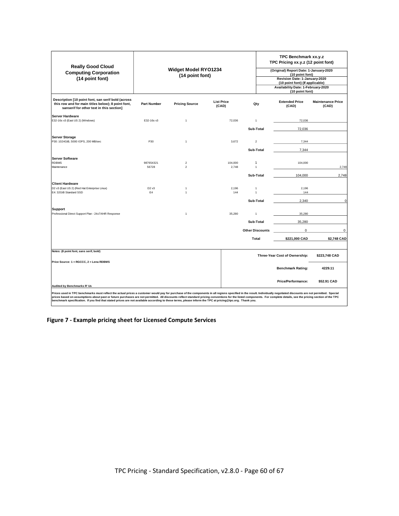| <b>Really Good Cloud</b><br><b>Computing Corporation</b><br>(14 point font)                              |                                     | Widget Model RYO1234<br>(14 point font) |                   |                                  | TPC Benchmark xx.y.z<br>TPC Pricing xx.y.z (12 point font)<br>(Original) Report Date: 1-January-2020<br>(10 point font)<br>Revision Date: 1-January-2020<br>(10 point font) (If applicable)<br>Availability Date: 1-February-2020 |                          |  |
|----------------------------------------------------------------------------------------------------------|-------------------------------------|-----------------------------------------|-------------------|----------------------------------|-----------------------------------------------------------------------------------------------------------------------------------------------------------------------------------------------------------------------------------|--------------------------|--|
| Description [10 point font, san serif bold (across<br>this row and for main titles below); 8 point font, | <b>Part Number</b>                  | <b>Pricing Source</b>                   | <b>List Price</b> | Qty                              | (10 point font)<br><b>Extended Price</b>                                                                                                                                                                                          | <b>Maintenance Price</b> |  |
| sanserif for other text in this section]                                                                 |                                     |                                         | (CAD)             |                                  | (CAD)                                                                                                                                                                                                                             | (CAD)                    |  |
| <b>Server Hardware</b>                                                                                   |                                     |                                         |                   |                                  |                                                                                                                                                                                                                                   |                          |  |
| E32-16s v3 (East US 2) (Windows)                                                                         | E32-16s v3                          | $\overline{1}$                          | 72,036            | $\overline{1}$                   | 72,036                                                                                                                                                                                                                            |                          |  |
|                                                                                                          |                                     |                                         |                   | Sub-Total                        | 72,036                                                                                                                                                                                                                            |                          |  |
| <b>Server Storage</b>                                                                                    |                                     |                                         |                   |                                  |                                                                                                                                                                                                                                   |                          |  |
| P30: 1024GiB, 5000 IOPS, 200 MB/sec                                                                      | P30                                 | $\overline{1}$                          | 3,672             | $\overline{\mathbf{c}}$          | 7,344                                                                                                                                                                                                                             |                          |  |
|                                                                                                          |                                     |                                         |                   | Sub-Total                        | 7,344                                                                                                                                                                                                                             |                          |  |
| <b>Server Software</b>                                                                                   |                                     |                                         |                   |                                  |                                                                                                                                                                                                                                   |                          |  |
| <b>RDBMS</b>                                                                                             | 987654321                           | $\mathbf 2$<br>$\overline{2}$           | 104,000           | $\mathbf{1}$<br>$\overline{1}$   | 104,000                                                                                                                                                                                                                           |                          |  |
| Maintenance                                                                                              | 56728                               |                                         | 2,748             |                                  |                                                                                                                                                                                                                                   | 2,748                    |  |
|                                                                                                          |                                     |                                         |                   | Sub-Total                        | 104,000                                                                                                                                                                                                                           | 2,748                    |  |
| <b>Client Hardware</b>                                                                                   |                                     |                                         |                   |                                  |                                                                                                                                                                                                                                   |                          |  |
| D2 v3 (East US 2) (Red Hat Enterprise Linux)<br>E4: 32GiB Standard SSD                                   | D <sub>2</sub> v <sub>3</sub><br>E4 | $\overline{1}$<br>$\ddot{\phantom{1}}$  | 2,196<br>144      | $\overline{1}$<br>$\overline{1}$ | 2,196<br>144                                                                                                                                                                                                                      |                          |  |
|                                                                                                          |                                     |                                         |                   | Sub-Total                        | 2.340                                                                                                                                                                                                                             | 0                        |  |
| <b>Support</b>                                                                                           |                                     |                                         |                   |                                  |                                                                                                                                                                                                                                   |                          |  |
| Professional Direct Support Plan - 24x7/4HR Response                                                     |                                     | $\overline{1}$                          | 35.280            | $\mathbf{1}$                     | 35,280                                                                                                                                                                                                                            |                          |  |
|                                                                                                          |                                     |                                         |                   | Sub-Total                        | 35,280                                                                                                                                                                                                                            |                          |  |
|                                                                                                          |                                     |                                         |                   | <b>Other Discounts</b>           | 0                                                                                                                                                                                                                                 | $\mathbf 0$              |  |
|                                                                                                          |                                     |                                         |                   | Total                            | \$221,000 CAD                                                                                                                                                                                                                     | \$2,748 CAD              |  |
| Notes: (8 point font, sans serif, bold)                                                                  |                                     |                                         |                   |                                  |                                                                                                                                                                                                                                   |                          |  |
| Price Source: 1 = RGCCC, 2 = Lena RDBMS                                                                  |                                     |                                         |                   |                                  | Three-Year Cost of Ownership:                                                                                                                                                                                                     | \$223,748 CAD            |  |
|                                                                                                          |                                     |                                         |                   |                                  | <b>Benchmark Rating:</b>                                                                                                                                                                                                          | 4229.11                  |  |
|                                                                                                          |                                     |                                         |                   |                                  | Price/Performance:                                                                                                                                                                                                                | \$52.91 CAD              |  |
| Audited by Benchmarks R' Us                                                                              |                                     |                                         |                   |                                  |                                                                                                                                                                                                                                   |                          |  |

**Figure 7 - Example pricing sheet for Licensed Compute Services**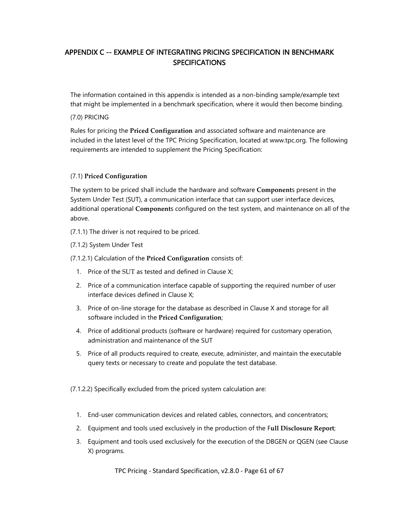## <span id="page-60-0"></span>APPENDIX C -- EXAMPLE OF INTEGRATING PRICING SPECIFICATION IN BENCHMARK **SPECIFICATIONS**

The information contained in this appendix is intended as a non-binding sample/example text that might be implemented in a benchmark specification, where it would then become binding.

### (7.0) PRICING

Rules for pricing the **Priced Configuration** and associated software and maintenance are included in the latest level of the TPC Pricing Specification, located at www.tpc.org. The following requirements are intended to supplement the Pricing Specification:

### (7.1) **Priced Configuration**

The system to be priced shall include the hardware and software **Component**s present in the System Under Test (SUT), a communication interface that can support user interface devices, additional operational **Component**s configured on the test system, and maintenance on all of the above.

(7.1.1) The driver is not required to be priced.

(7.1.2) System Under Test

(7.1.2.1) Calculation of the **Priced Configuration** consists of:

- 1. Price of the SUT as tested and defined in Clause X;
- 2. Price of a communication interface capable of supporting the required number of user interface devices defined in Clause X;
- 3. Price of on-line storage for the database as described in Clause X and storage for all software included in the **Priced Configuration**;
- 4. Price of additional products (software or hardware) required for customary operation, administration and maintenance of the SUT
- 5. Price of all products required to create, execute, administer, and maintain the executable query texts or necessary to create and populate the test database.

(7.1.2.2) Specifically excluded from the priced system calculation are:

- 1. End-user communication devices and related cables, connectors, and concentrators;
- 2. Equipment and tools used exclusively in the production of the F**ull Disclosure Report**;
- 3. Equipment and tools used exclusively for the execution of the DBGEN or QGEN (see Clause X) programs.

TPC Pricing - Standard Specification, v2.8.0 - Page 61 of 67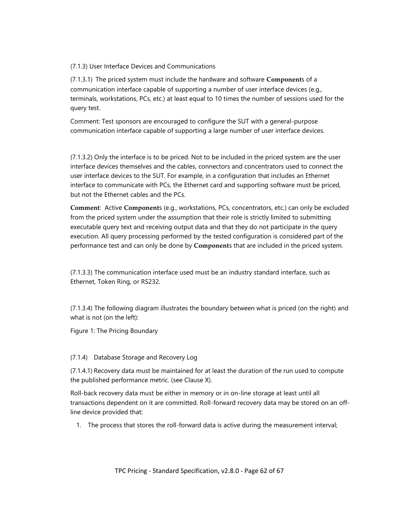(7.1.3) User Interface Devices and Communications

(7.1.3.1) The priced system must include the hardware and software **Component**s of a communication interface capable of supporting a number of user interface devices (e.g., terminals, workstations, PCs, etc.) at least equal to 10 times the number of sessions used for the query test.

Comment: Test sponsors are encouraged to configure the SUT with a general-purpose communication interface capable of supporting a large number of user interface devices.

(7.1.3.2) Only the interface is to be priced. Not to be included in the priced system are the user interface devices themselves and the cables, connectors and concentrators used to connect the user interface devices to the SUT. For example, in a configuration that includes an Ethernet interface to communicate with PCs, the Ethernet card and supporting software must be priced, but not the Ethernet cables and the PCs.

**Comment**: Active **Component**s (e.g., workstations, PCs, concentrators, etc.) can only be excluded from the priced system under the assumption that their role is strictly limited to submitting executable query text and receiving output data and that they do not participate in the query execution. All query processing performed by the tested configuration is considered part of the performance test and can only be done by **Component**s that are included in the priced system.

(7.1.3.3) The communication interface used must be an industry standard interface, such as Ethernet, Token Ring, or RS232.

(7.1.3.4) The following diagram illustrates the boundary between what is priced (on the right) and what is not (on the left):

Figure 1: The Pricing Boundary

#### (7.1.4) Database Storage and Recovery Log

(7.1.4.1) Recovery data must be maintained for at least the duration of the run used to compute the published performance metric. (see Clause X).

Roll-back recovery data must be either in memory or in on-line storage at least until all transactions dependent on it are committed. Roll-forward recovery data may be stored on an offline device provided that:

1. The process that stores the roll-forward data is active during the measurement interval;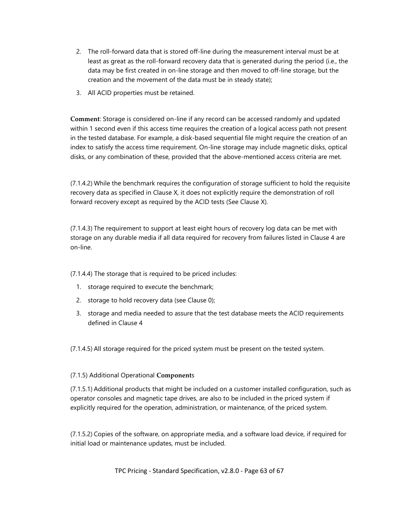- 2. The roll-forward data that is stored off-line during the measurement interval must be at least as great as the roll-forward recovery data that is generated during the period (i.e., the data may be first created in on-line storage and then moved to off-line storage, but the creation and the movement of the data must be in steady state);
- 3. All ACID properties must be retained.

**Comment**: Storage is considered on-line if any record can be accessed randomly and updated within 1 second even if this access time requires the creation of a logical access path not present in the tested database. For example, a disk-based sequential file might require the creation of an index to satisfy the access time requirement. On-line storage may include magnetic disks, optical disks, or any combination of these, provided that the above-mentioned access criteria are met.

(7.1.4.2) While the benchmark requires the configuration of storage sufficient to hold the requisite recovery data as specified in Clause X, it does not explicitly require the demonstration of roll forward recovery except as required by the ACID tests (See Clause X).

(7.1.4.3) The requirement to support at least eight hours of recovery log data can be met with storage on any durable media if all data required for recovery from failures listed in Clause 4 are on-line.

(7.1.4.4) The storage that is required to be priced includes:

- 1. storage required to execute the benchmark;
- 2. storage to hold recovery data (see Clause 0);
- 3. storage and media needed to assure that the test database meets the ACID requirements defined in Clause 4

(7.1.4.5) All storage required for the priced system must be present on the tested system.

#### (7.1.5) Additional Operational **Component**s

(7.1.5.1) Additional products that might be included on a customer installed configuration, such as operator consoles and magnetic tape drives, are also to be included in the priced system if explicitly required for the operation, administration, or maintenance, of the priced system.

(7.1.5.2) Copies of the software, on appropriate media, and a software load device, if required for initial load or maintenance updates, must be included.

TPC Pricing - Standard Specification, v2.8.0 - Page 63 of 67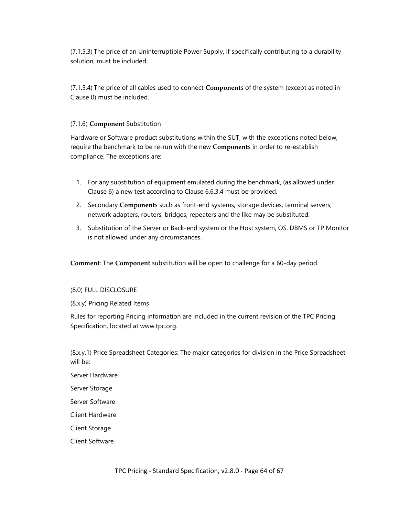(7.1.5.3) The price of an Uninterruptible Power Supply, if specifically contributing to a durability solution, must be included.

(7.1.5.4) The price of all cables used to connect **Component**s of the system (except as noted in Clause 0) must be included.

### (7.1.6) **Component** Substitution

Hardware or Software product substitutions within the SUT, with the exceptions noted below, require the benchmark to be re-run with the new **Component**s in order to re-establish compliance. The exceptions are:

- 1. For any substitution of equipment emulated during the benchmark, (as allowed under Clause 6) a new test according to Clause 6.6.3.4 must be provided.
- 2. Secondary **Component**s such as front-end systems, storage devices, terminal servers, network adapters, routers, bridges, repeaters and the like may be substituted.
- 3. Substitution of the Server or Back-end system or the Host system, OS, DBMS or TP Monitor is not allowed under any circumstances.

**Comment**: The **Component** substitution will be open to challenge for a 60-day period.

#### (8.0) FULL DISCLOSURE

(8.x.y) Pricing Related Items

Rules for reporting Pricing information are included in the current revision of the TPC Pricing Specification, located at www.tpc.org.

(8.x.y.1) Price Spreadsheet Categories: The major categories for division in the Price Spreadsheet will be:

Server Hardware Server Storage Server Software Client Hardware

Client Storage

Client Software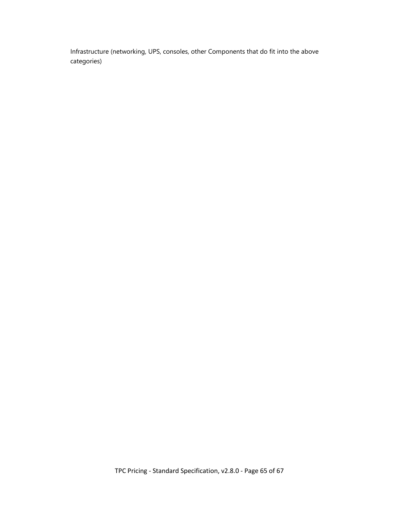Infrastructure (networking, UPS, consoles, other Components that do fit into the above categories)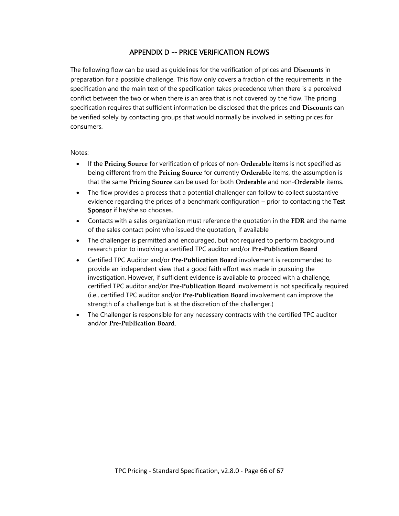## APPENDIX D -- PRICE VERIFICATION FLOWS

<span id="page-65-0"></span>The following flow can be used as guidelines for the verification of prices and **Discount**s in preparation for a possible challenge. This flow only covers a fraction of the requirements in the specification and the main text of the specification takes precedence when there is a perceived conflict between the two or when there is an area that is not covered by the flow. The pricing specification requires that sufficient information be disclosed that the prices and **Discount**s can be verified solely by contacting groups that would normally be involved in setting prices for consumers.

#### Notes:

- If the **Pricing Source** for verification of prices of non-**Orderable** items is not specified as being different from the **Pricing Source** for currently **Orderable** items, the assumption is that the same **Pricing Source** can be used for both **Orderable** and non-**Orderable** items.
- The flow provides a process that a potential challenger can follow to collect substantive evidence regarding the prices of a benchmark configuration  $-$  prior to contacting the Test Sponsor if he/she so chooses.
- Contacts with a sales organization must reference the quotation in the **FDR** and the name of the sales contact point who issued the quotation, if available
- The challenger is permitted and encouraged, but not required to perform background research prior to involving a certified TPC auditor and/or **Pre-Publication Board**
- Certified TPC Auditor and/or **Pre-Publication Board** involvement is recommended to provide an independent view that a good faith effort was made in pursuing the investigation. However, if sufficient evidence is available to proceed with a challenge, certified TPC auditor and/or **Pre-Publication Board** involvement is not specifically required (i.e., certified TPC auditor and/or **Pre-Publication Board** involvement can improve the strength of a challenge but is at the discretion of the challenger.)
- The Challenger is responsible for any necessary contracts with the certified TPC auditor and/or **Pre-Publication Board**.